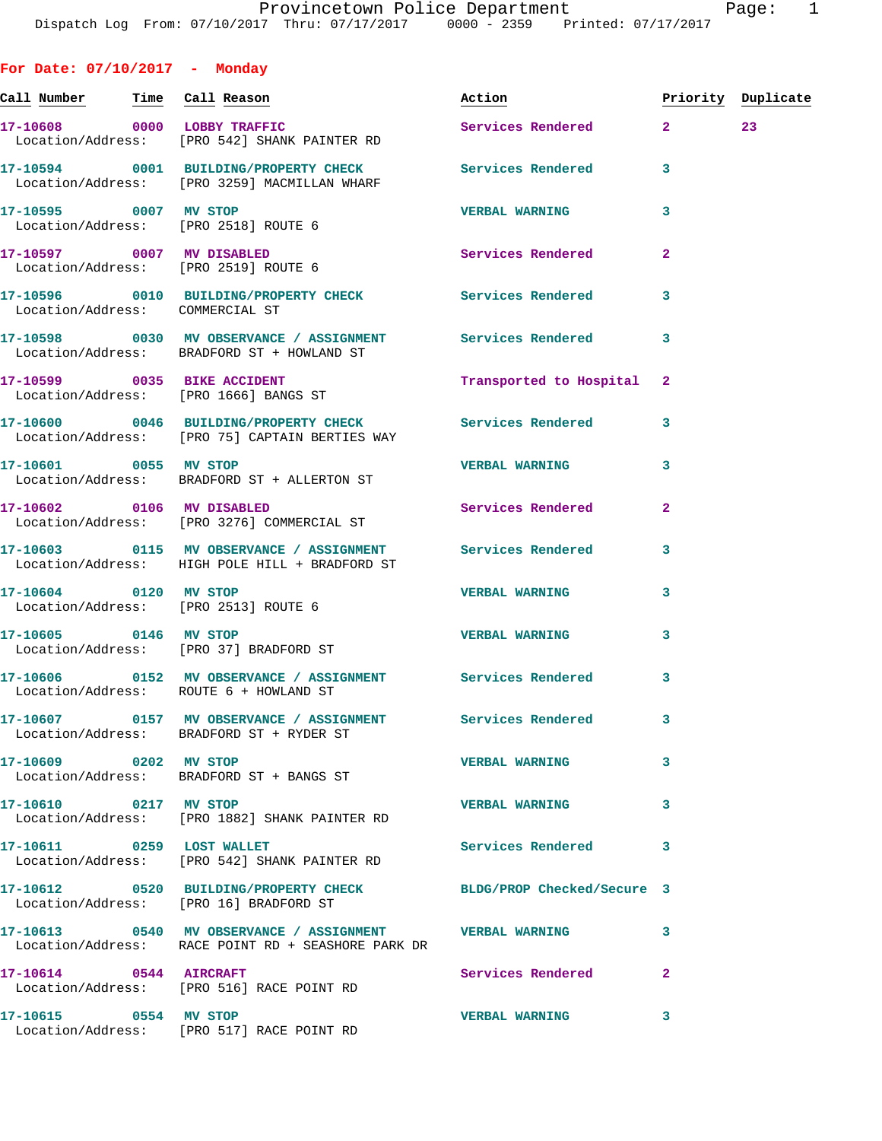| For Date: 07/10/2017 - Monday         |                                                                                                               |                          |                    |    |
|---------------------------------------|---------------------------------------------------------------------------------------------------------------|--------------------------|--------------------|----|
| <u>Call Number — Time Call Reason</u> |                                                                                                               | Action                   | Priority Duplicate |    |
|                                       | 17-10608 0000 LOBBY TRAFFIC<br>Location/Address: [PRO 542] SHANK PAINTER RD                                   | Services Rendered 2      |                    | 23 |
|                                       | 17-10594 0001 BUILDING/PROPERTY CHECK Services Rendered<br>Location/Address: [PRO 3259] MACMILLAN WHARF       |                          | 3                  |    |
| 17-10595 0007 MV STOP                 | Location/Address: [PRO 2518] ROUTE 6                                                                          | <b>VERBAL WARNING</b>    | 3                  |    |
|                                       | 17-10597 0007 MV DISABLED<br>Location/Address: [PRO 2519] ROUTE 6                                             | Services Rendered        | $\mathbf{2}$       |    |
| Location/Address: COMMERCIAL ST       | 17-10596 0010 BUILDING/PROPERTY CHECK Services Rendered                                                       |                          | 3                  |    |
|                                       | 17-10598 0030 MV OBSERVANCE / ASSIGNMENT Services Rendered<br>Location/Address: BRADFORD ST + HOWLAND ST      |                          | 3                  |    |
|                                       | 17-10599 0035 BIKE ACCIDENT<br>Location/Address: [PRO 1666] BANGS ST                                          | Transported to Hospital  | 2                  |    |
|                                       | 17-10600 0046 BUILDING/PROPERTY CHECK Services Rendered<br>Location/Address: [PRO 75] CAPTAIN BERTIES WAY     |                          | 3                  |    |
| 17-10601 0055 MV STOP                 | Location/Address: BRADFORD ST + ALLERTON ST                                                                   | <b>VERBAL WARNING</b>    | 3                  |    |
|                                       | 17-10602 0106 MV DISABLED<br>Location/Address: [PRO 3276] COMMERCIAL ST                                       | Services Rendered        | $\overline{a}$     |    |
|                                       | 17-10603 0115 MV OBSERVANCE / ASSIGNMENT Services Rendered<br>Location/Address: HIGH POLE HILL + BRADFORD ST  |                          | 3                  |    |
| 17-10604 0120 MV STOP                 | Location/Address: [PRO 2513] ROUTE 6                                                                          | <b>VERBAL WARNING</b>    | 3                  |    |
|                                       | 17-10605 0146 MV STOP<br>Location/Address: [PRO 37] BRADFORD ST                                               | <b>VERBAL WARNING</b>    | 3                  |    |
|                                       | 17-10606 0152 MV OBSERVANCE / ASSIGNMENT Services Rendered<br>Location/Address: ROUTE 6 + HOWLAND ST          |                          | 3                  |    |
|                                       | 17-10607 0157 MV OBSERVANCE / ASSIGNMENT Services Rendered<br>Location/Address: BRADFORD ST + RYDER ST        |                          | 3                  |    |
| 17-10609 0202 MV STOP                 | Location/Address: BRADFORD ST + BANGS ST                                                                      | <b>VERBAL WARNING</b>    | 3                  |    |
| 17-10610 0217 MV STOP                 | Location/Address: [PRO 1882] SHANK PAINTER RD                                                                 | <b>VERBAL WARNING</b>    | 3                  |    |
| 17-10611 0259 LOST WALLET             | Location/Address: [PRO 542] SHANK PAINTER RD                                                                  | <b>Services Rendered</b> | 3                  |    |
|                                       | 17-10612 0520 BUILDING/PROPERTY CHECK BLDG/PROP Checked/Secure 3<br>Location/Address: [PRO 16] BRADFORD ST    |                          |                    |    |
|                                       | 17-10613 0540 MV OBSERVANCE / ASSIGNMENT VERBAL WARNING<br>Location/Address: RACE POINT RD + SEASHORE PARK DR |                          | 3                  |    |
|                                       | 17-10614 0544 AIRCRAFT<br>Location/Address: [PRO 516] RACE POINT RD                                           | Services Rendered        | $\mathbf{2}$       |    |
| 17-10615 0554 MV STOP                 | Location/Address: [PRO 517] RACE POINT RD                                                                     | <b>VERBAL WARNING</b>    | 3                  |    |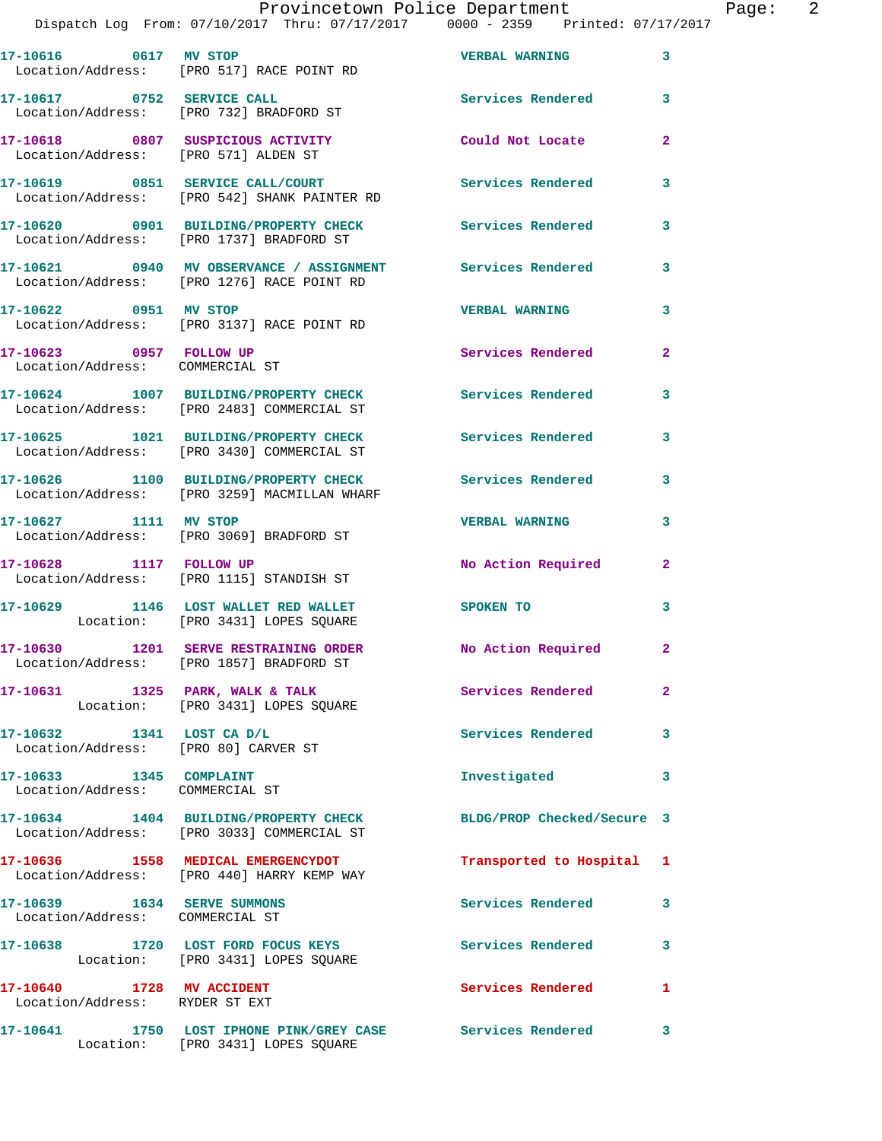## Provincetown Police Department Page: 2

Dispatch Log From: 07/10/2017 Thru: 07/17/2017 0000 - 2359 Printed: 07/17/2017

|                                                                   | 17-10616 0617 MV STOP<br>Location/Address: [PRO 517] RACE POINT RD                                       | <b>VERBAL WARNING</b>      | $\mathbf{3}$            |
|-------------------------------------------------------------------|----------------------------------------------------------------------------------------------------------|----------------------------|-------------------------|
| 17-10617 0752 SERVICE CALL                                        | Location/Address: [PRO 732] BRADFORD ST                                                                  | Services Rendered 3        |                         |
| Location/Address: [PRO 571] ALDEN ST                              | 17-10618 0807 SUSPICIOUS ACTIVITY                                                                        | Could Not Locate           | $\overline{2}$          |
|                                                                   | 17-10619 0851 SERVICE CALL/COURT<br>Location/Address: [PRO 542] SHANK PAINTER RD                         | <b>Services Rendered</b>   | 3                       |
|                                                                   | 17-10620 0901 BUILDING/PROPERTY CHECK<br>Location/Address: [PRO 1737] BRADFORD ST                        | <b>Services Rendered</b>   | 3                       |
|                                                                   | 17-10621 0940 MV OBSERVANCE / ASSIGNMENT Services Rendered<br>Location/Address: [PRO 1276] RACE POINT RD |                            | 3                       |
| 17-10622 0951 MV STOP                                             | Location/Address: [PRO 3137] RACE POINT RD                                                               | <b>VERBAL WARNING</b>      | 3                       |
| 17-10623 0957 FOLLOW UP<br>Location/Address: COMMERCIAL ST        |                                                                                                          | Services Rendered          | $\overline{2}$          |
|                                                                   | 17-10624 1007 BUILDING/PROPERTY CHECK<br>Location/Address: [PRO 2483] COMMERCIAL ST                      | <b>Services Rendered</b>   | 3                       |
|                                                                   | 17-10625 1021 BUILDING/PROPERTY CHECK<br>Location/Address: [PRO 3430] COMMERCIAL ST                      | <b>Services Rendered</b>   | 3                       |
|                                                                   | 17-10626 1100 BUILDING/PROPERTY CHECK<br>Location/Address: [PRO 3259] MACMILLAN WHARF                    | <b>Services Rendered</b>   | $\mathbf{3}$            |
| 17-10627 1111 MV STOP                                             | Location/Address: [PRO 3069] BRADFORD ST                                                                 | <b>VERBAL WARNING</b>      | 3                       |
| 17-10628 1117 FOLLOW UP                                           | Location/Address: [PRO 1115] STANDISH ST                                                                 | No Action Required         | $\mathbf{2}$            |
|                                                                   | 17-10629 1146 LOST WALLET RED WALLET<br>Location: [PRO 3431] LOPES SQUARE                                | SPOKEN TO                  | 3                       |
|                                                                   | 17-10630 1201 SERVE RESTRAINING ORDER<br>Location/Address: [PRO 1857] BRADFORD ST                        | No Action Required         | $\mathbf{2}$            |
|                                                                   | 17-10631 1325 PARK, WALK & TALK<br>Location: [PRO 3431] LOPES SQUARE                                     | Services Rendered          | $\overline{2}$          |
| 17-10632 1341 LOST CA D/L<br>Location/Address: [PRO 80] CARVER ST |                                                                                                          | Services Rendered 3        |                         |
| 17-10633 1345 COMPLAINT                                           |                                                                                                          | Investigated               | $\mathbf{3}$            |
| Location/Address: COMMERCIAL ST                                   | 17-10634 1404 BUILDING/PROPERTY CHECK                                                                    | BLDG/PROP Checked/Secure 3 |                         |
|                                                                   | Location/Address: [PRO 3033] COMMERCIAL ST<br>17-10636 1558 MEDICAL EMERGENCYDOT                         | Transported to Hospital 1  |                         |
| 17-10639    1634    SERVE SUMMONS                                 | Location/Address: [PRO 440] HARRY KEMP WAY                                                               | Services Rendered 3        |                         |
| Location/Address: COMMERCIAL ST                                   | 17-10638 1720 LOST FORD FOCUS KEYS                                                                       | Services Rendered          | $\overline{\mathbf{3}}$ |
|                                                                   | Location: [PRO 3431] LOPES SQUARE                                                                        |                            |                         |
| 17-10640 1728 MV ACCIDENT<br>Location/Address: RYDER ST EXT       |                                                                                                          | Services Rendered 1        |                         |
|                                                                   | 17-10641 1750 LOST IPHONE PINK/GREY CASE Services Rendered 3                                             |                            |                         |

Location: [PRO 3431] LOPES SQUARE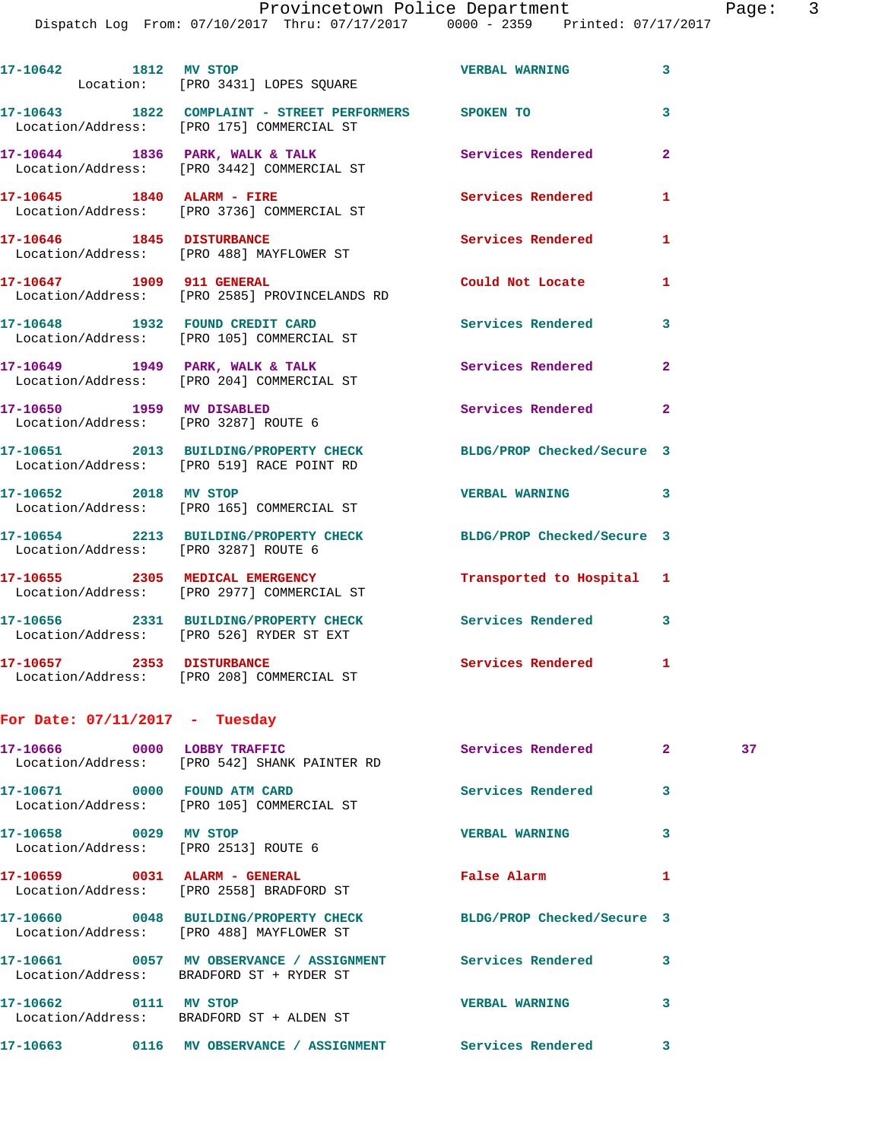| 17-10642<br>Location: | 1812<br>MV STOP<br>[PRO 3431] LOPES SQUARE                                         | <b>VERBAL WARNING</b> | 3 |
|-----------------------|------------------------------------------------------------------------------------|-----------------------|---|
| 17-10643              | 1822<br>COMPLAINT - STREET PERFORMERS<br>Location/Address: [PRO 175] COMMERCIAL ST | <b>SPOKEN TO</b>      | 3 |
| 17-10644              | 1836<br>PARK, WALK & TALK<br>Location/Address: [PRO 3442] COMMERCIAL ST            | Services Rendered     | 2 |
| 17-10645              | 1840 ALARM - FIRE<br>Location/Address: [PRO 3736] COMMERCIAL ST                    | Services Rendered     | 1 |

**17-10646 1845 DISTURBANCE Services Rendered 1**  Location/Address: [PRO 488] MAYFLOWER ST

**17-10647 1909 911 GENERAL Could Not Locate 1**  Location/Address: [PRO 2585] PROVINCELANDS RD

**17-10648 1932 FOUND CREDIT CARD Services Rendered 3**  Location/Address: [PRO 105] COMMERCIAL ST 17-10649 1949 PARK, WALK & TALK **Services Rendered** 2

 Location/Address: [PRO 204] COMMERCIAL ST **17-10650 1959 MV DISABLED Services Rendered 2**  Location/Address: [PRO 3287] ROUTE 6

**17-10651 2013 BUILDING/PROPERTY CHECK BLDG/PROP Checked/Secure 3**  Location/Address: [PRO 519] RACE POINT RD

**17-10652 2018 MV STOP VERBAL WARNING 3**  Location/Address: [PRO 165] COMMERCIAL ST

**17-10654 2213 BUILDING/PROPERTY CHECK BLDG/PROP Checked/Secure 3**  Location/Address: [PRO 3287] ROUTE 6 **17-10655 2305 MEDICAL EMERGENCY Transported to Hospital 1** 

 Location/Address: [PRO 2977] COMMERCIAL ST **17-10656 2331 BUILDING/PROPERTY CHECK Services Rendered 3**  Location/Address: [PRO 526] RYDER ST EXT

17-10657 2353 DISTURBANCE Services Rendered 1 Location/Address: [PRO 208] COMMERCIAL ST

## **For Date: 07/11/2017 - Tuesday**

| 17-10666 0000                                         | <b>LOBBY TRAFFIC</b><br>Location/Address: [PRO 542] SHANK PAINTER RD                                               | <b>Services Rendered</b>   | $\overline{2}$ | 37 |
|-------------------------------------------------------|--------------------------------------------------------------------------------------------------------------------|----------------------------|----------------|----|
| 17-10671 0000                                         | FOUND ATM CARD<br>Location/Address: [PRO 105] COMMERCIAL ST                                                        | Services Rendered          | 3              |    |
| 17-10658 0029<br>Location/Address: [PRO 2513] ROUTE 6 | <b>MV STOP</b>                                                                                                     | <b>VERBAL WARNING</b>      | 3              |    |
|                                                       | Location/Address: [PRO 2558] BRADFORD ST                                                                           | <b>False Alarm</b>         |                |    |
|                                                       | 17-10660 0048 BUILDING/PROPERTY CHECK<br>Location/Address: [PRO 488] MAYFLOWER ST                                  | BLDG/PROP Checked/Secure 3 |                |    |
|                                                       | 17-10661      0057   MV OBSERVANCE / ASSIGNMENT      Services Rendered<br>Location/Address: BRADFORD ST + RYDER ST |                            | 3              |    |
| 17-10662 0111                                         | MV STOP<br>Location/Address: BRADFORD ST + ALDEN ST                                                                | <b>VERBAL WARNING</b>      | 3              |    |
| 0116<br>17-10663                                      | MV OBSERVANCE / ASSIGNMENT                                                                                         | Services Rendered          | 3              |    |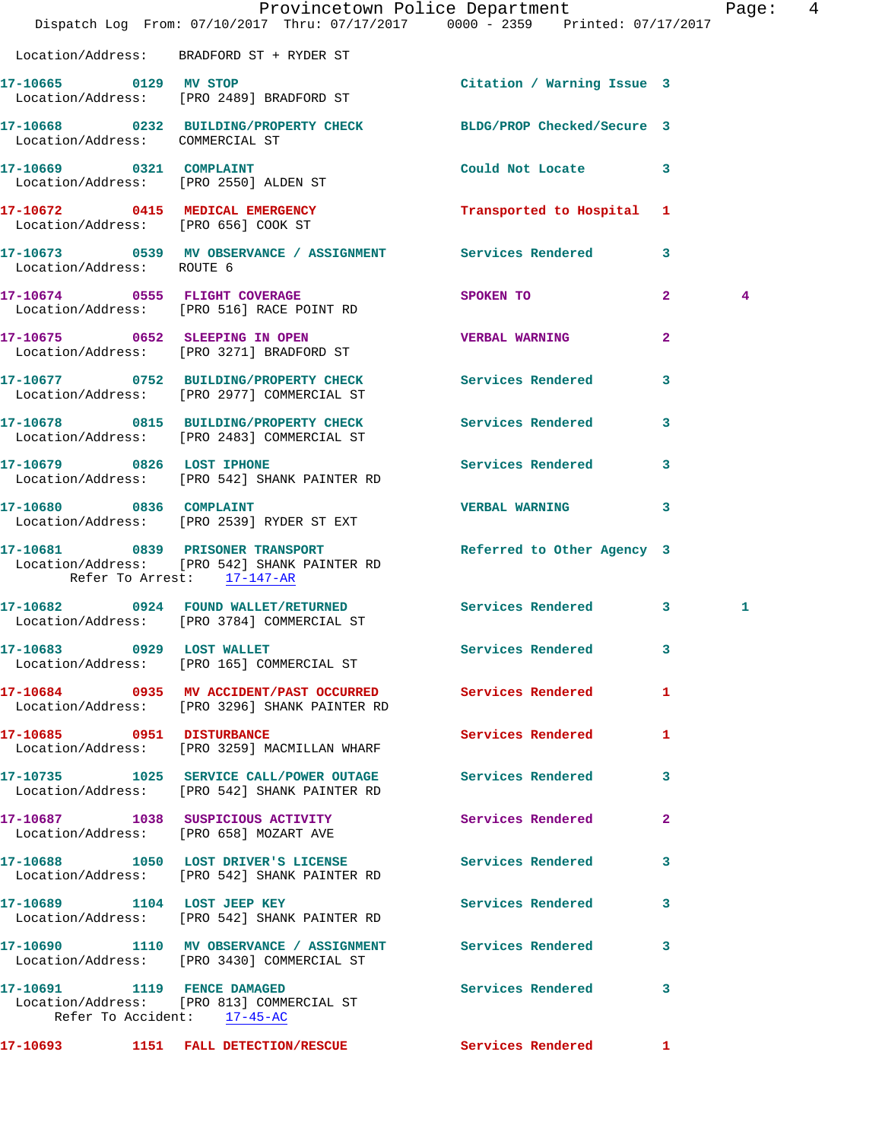|                                                            | Provincetown Police Department Page:<br>Dispatch Log From: 07/10/2017 Thru: 07/17/2017 0000 - 2359 Printed: 07/17/2017 |                                                                                                                                                                                                                                |                |   | $\overline{4}$ |
|------------------------------------------------------------|------------------------------------------------------------------------------------------------------------------------|--------------------------------------------------------------------------------------------------------------------------------------------------------------------------------------------------------------------------------|----------------|---|----------------|
|                                                            | Location/Address: BRADFORD ST + RYDER ST                                                                               |                                                                                                                                                                                                                                |                |   |                |
|                                                            | 17-10665 0129 MV STOP<br>Location/Address: [PRO 2489] BRADFORD ST                                                      | Citation / Warning Issue 3                                                                                                                                                                                                     |                |   |                |
| Location/Address: COMMERCIAL ST                            | 17-10668 0232 BUILDING/PROPERTY CHECK BLDG/PROP Checked/Secure 3                                                       |                                                                                                                                                                                                                                |                |   |                |
|                                                            | 17-10669 0321 COMPLAINT<br>Location/Address: [PRO 2550] ALDEN ST                                                       | Could Not Locate 3                                                                                                                                                                                                             |                |   |                |
| Location/Address: [PRO 656] COOK ST                        | 17-10672 0415 MEDICAL EMERGENCY Transported to Hospital 1                                                              |                                                                                                                                                                                                                                |                |   |                |
| Location/Address: ROUTE 6                                  | 17-10673 0539 MV OBSERVANCE / ASSIGNMENT Services Rendered 3                                                           |                                                                                                                                                                                                                                |                |   |                |
|                                                            | 17-10674 0555 FLIGHT COVERAGE<br>Location/Address: [PRO 516] RACE POINT RD                                             | SPOKEN TO AND TO A RESIDENCE A STRUCK OF A RESIDENCE OF A RESIDENCE OF A RESIDENCE OF A REPORT OF A RESIDENCE OF A REPORT OF A REPORT OF A REPORT OF A REPORT OF A REPORT OF A REPORT OF A REPORT OF A REPORT OF A REPORT OF A | $\overline{2}$ | 4 |                |
|                                                            | 17-10675 0652 SLEEPING IN OPEN<br>Location/Address: [PRO 3271] BRADFORD ST                                             | <b>VERBAL WARNING</b>                                                                                                                                                                                                          | $\mathbf{2}$   |   |                |
|                                                            | 17-10677 0752 BUILDING/PROPERTY CHECK Services Rendered<br>Location/Address: [PRO 2977] COMMERCIAL ST                  |                                                                                                                                                                                                                                | 3              |   |                |
|                                                            | 17-10678 0815 BUILDING/PROPERTY CHECK Services Rendered<br>Location/Address: [PRO 2483] COMMERCIAL ST                  |                                                                                                                                                                                                                                | 3              |   |                |
|                                                            | 17-10679 0826 LOST IPHONE<br>Location/Address: [PRO 542] SHANK PAINTER RD                                              | Services Rendered                                                                                                                                                                                                              | 3              |   |                |
|                                                            | 17-10680 0836 COMPLAINT<br>Location/Address: [PRO 2539] RYDER ST EXT                                                   | <b>VERBAL WARNING</b>                                                                                                                                                                                                          | 3              |   |                |
| Refer To Arrest: 17-147-AR                                 | 17-10681 0839 PRISONER TRANSPORT Neferred to Other Agency 3<br>Location/Address: [PRO 542] SHANK PAINTER RD            |                                                                                                                                                                                                                                |                |   |                |
|                                                            | 17-10682 0924 FOUND WALLET/RETURNED Services Rendered 3<br>Location/Address: [PRO 3784] COMMERCIAL ST                  |                                                                                                                                                                                                                                |                | 1 |                |
| 17-10683 0929 LOST WALLET                                  | Location/Address: [PRO 165] COMMERCIAL ST                                                                              | Services Rendered                                                                                                                                                                                                              |                |   |                |
|                                                            | 17-10684 0935 MV ACCIDENT/PAST OCCURRED Services Rendered 1<br>Location/Address: [PRO 3296] SHANK PAINTER RD           |                                                                                                                                                                                                                                |                |   |                |
| 17-10685 0951 DISTURBANCE                                  | Location/Address: [PRO 3259] MACMILLAN WHARF                                                                           | <b>Services Rendered</b>                                                                                                                                                                                                       | -1             |   |                |
|                                                            | 17-10735 1025 SERVICE CALL/POWER OUTAGE Services Rendered<br>Location/Address: [PRO 542] SHANK PAINTER RD              |                                                                                                                                                                                                                                | 3              |   |                |
|                                                            | 17-10687 1038 SUSPICIOUS ACTIVITY<br>Location/Address: [PRO 658] MOZART AVE                                            | <b>Services Rendered</b>                                                                                                                                                                                                       | $\mathbf{2}$   |   |                |
|                                                            | 17-10688 1050 LOST DRIVER'S LICENSE Services Rendered<br>Location/Address: [PRO 542] SHANK PAINTER RD                  |                                                                                                                                                                                                                                | 3              |   |                |
|                                                            | 17-10689 1104 LOST JEEP KEY<br>Location/Address: [PRO 542] SHANK PAINTER RD                                            | <b>Services Rendered</b>                                                                                                                                                                                                       | 3              |   |                |
|                                                            | 17-10690 1110 MV OBSERVANCE / ASSIGNMENT Services Rendered<br>Location/Address: [PRO 3430] COMMERCIAL ST               |                                                                                                                                                                                                                                | 3              |   |                |
| 17-10691 1119 FENCE DAMAGED<br>Refer To Accident: 17-45-AC | Location/Address: [PRO 813] COMMERCIAL ST                                                                              | Services Rendered 3                                                                                                                                                                                                            |                |   |                |
|                                                            | 17-10693 1151 FALL DETECTION/RESCUE Services Rendered 1                                                                |                                                                                                                                                                                                                                |                |   |                |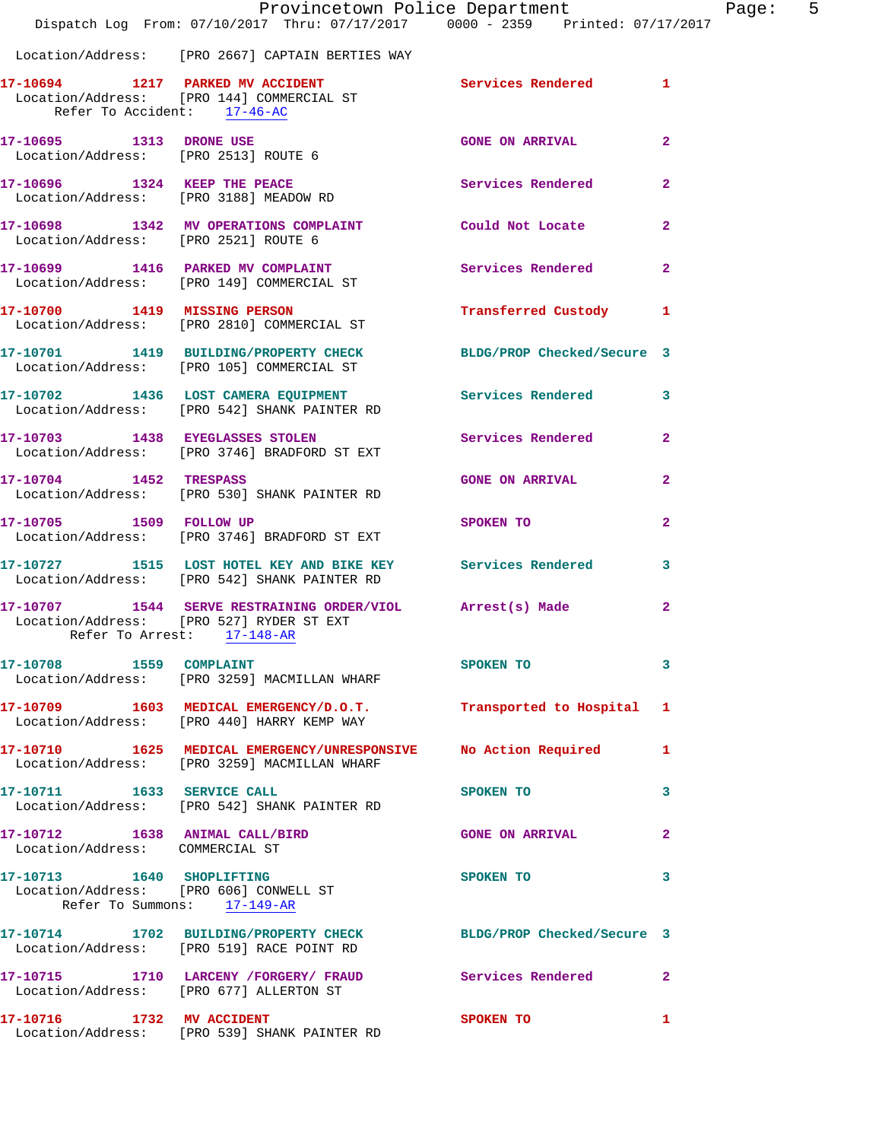|                                                                   | Provincetown Police Department<br>Dispatch Log From: 07/10/2017 Thru: 07/17/2017 0000 - 2359 Printed: 07/17/2017 |                          |                         |
|-------------------------------------------------------------------|------------------------------------------------------------------------------------------------------------------|--------------------------|-------------------------|
|                                                                   | Location/Address: [PRO 2667] CAPTAIN BERTIES WAY                                                                 |                          |                         |
| Refer To Accident: 17-46-AC                                       | 17-10694 1217 PARKED MV ACCIDENT<br>Location/Address: [PRO 144] COMMERCIAL ST                                    | Services Rendered        | 1                       |
| 17-10695 1313 DRONE USE<br>Location/Address: [PRO 2513] ROUTE 6   |                                                                                                                  | <b>GONE ON ARRIVAL</b>   | $\overline{a}$          |
|                                                                   | 17-10696 1324 KEEP THE PEACE<br>Location/Address: [PRO 3188] MEADOW RD                                           | Services Rendered        | $\overline{a}$          |
| Location/Address: [PRO 2521] ROUTE 6                              | 17-10698 1342 MV OPERATIONS COMPLAINT Could Not Locate                                                           |                          | $\overline{a}$          |
|                                                                   | 17-10699 1416 PARKED MV COMPLAINT Services Rendered<br>Location/Address: [PRO 149] COMMERCIAL ST                 |                          | $\overline{a}$          |
|                                                                   | 17-10700 1419 MISSING PERSON<br>Location/Address: [PRO 2810] COMMERCIAL ST                                       | Transferred Custody      | 1                       |
|                                                                   | 17-10701 1419 BUILDING/PROPERTY CHECK BLDG/PROP Checked/Secure 3<br>Location/Address: [PRO 105] COMMERCIAL ST    |                          |                         |
|                                                                   | 17-10702 1436 LOST CAMERA EQUIPMENT<br>Location/Address: [PRO 542] SHANK PAINTER RD                              | <b>Services Rendered</b> | 3                       |
|                                                                   | 17-10703 1438 EYEGLASSES STOLEN<br>Location/Address: [PRO 3746] BRADFORD ST EXT                                  | Services Rendered        | $\mathbf{2}$            |
| 17-10704 1452 TRESPASS                                            | Location/Address: [PRO 530] SHANK PAINTER RD                                                                     | <b>GONE ON ARRIVAL</b>   | $\overline{\mathbf{2}}$ |
| 17-10705 1509 FOLLOW UP                                           | Location/Address: [PRO 3746] BRADFORD ST EXT                                                                     | SPOKEN TO                | 2                       |
|                                                                   | 17-10727 1515 LOST HOTEL KEY AND BIKE KEY Services Rendered<br>Location/Address: [PRO 542] SHANK PAINTER RD      |                          | 3                       |
| Refer To Arrest: 17-148-AR                                        | 17-10707 1544 SERVE RESTRAINING ORDER/VIOL Arrest(s) Made<br>Location/Address: [PRO 527] RYDER ST EXT            |                          | $\mathbf{2}$            |
| 17-10708 1559 COMPLAINT                                           | Location/Address: [PRO 3259] MACMILLAN WHARF                                                                     | SPOKEN TO                | 3                       |
|                                                                   | 17-10709 1603 MEDICAL EMERGENCY/D.O.T. Transported to Hospital<br>Location/Address: [PRO 440] HARRY KEMP WAY     |                          | 1                       |
|                                                                   | 17-10710 1625 MEDICAL EMERGENCY/UNRESPONSIVE No Action Required<br>Location/Address: [PRO 3259] MACMILLAN WHARF  |                          | 1                       |
| 17-10711 1633 SERVICE CALL                                        | Location/Address: [PRO 542] SHANK PAINTER RD                                                                     | SPOKEN TO                | 3                       |
| 17-10712 1638 ANIMAL CALL/BIRD<br>Location/Address: COMMERCIAL ST |                                                                                                                  | <b>GONE ON ARRIVAL</b>   | 2                       |
| Location/Address: [PRO 606] CONWELL ST                            | 17-10713 1640 SHOPLIFTING<br>Refer To Summons: 17-149-AR                                                         | <b>SPOKEN TO</b>         | 3                       |
|                                                                   | 17-10714 1702 BUILDING/PROPERTY CHECK BLDG/PROP Checked/Secure 3<br>Location/Address: [PRO 519] RACE POINT RD    |                          |                         |
|                                                                   | 17-10715 1710 LARCENY /FORGERY / FRAUD Services Rendered<br>Location/Address: [PRO 677] ALLERTON ST              |                          | 2                       |
| 17-10716 1732 MV ACCIDENT                                         | Location/Address: [PRO 539] SHANK PAINTER RD                                                                     | SPOKEN TO                | 1                       |

Page:  $5<sub>17</sub>$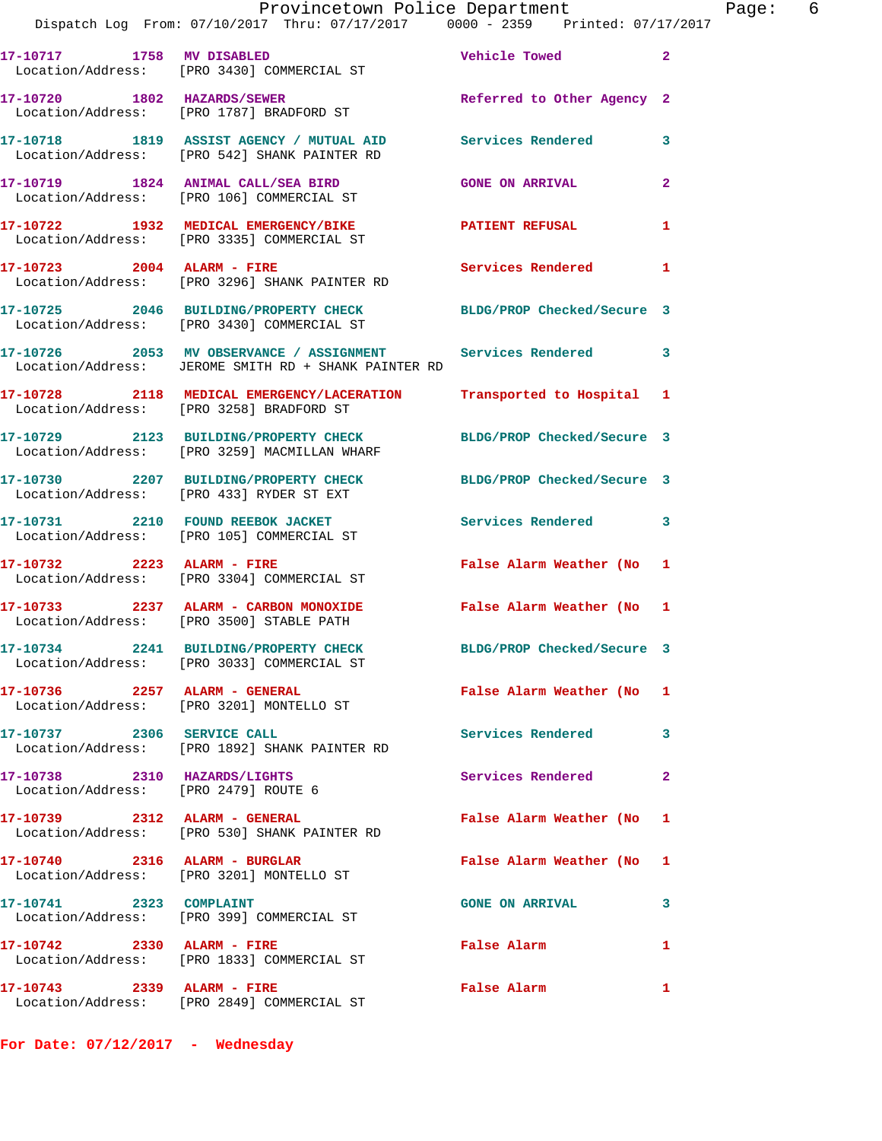|                                                                      | Provincetown Police Department<br>Dispatch Log From: 07/10/2017 Thru: 07/17/2017 0000 - 2359 Printed: 07/17/2017   |                            |                |
|----------------------------------------------------------------------|--------------------------------------------------------------------------------------------------------------------|----------------------------|----------------|
| 17-10717 1758 MV DISABLED                                            | Location/Address: [PRO 3430] COMMERCIAL ST                                                                         | Vehicle Towed              | $\overline{2}$ |
|                                                                      | 17-10720 1802 HAZARDS/SEWER<br>Location/Address: [PRO 1787] BRADFORD ST                                            | Referred to Other Agency 2 |                |
|                                                                      | 17-10718 1819 ASSIST AGENCY / MUTUAL AID Services Rendered<br>Location/Address: [PRO 542] SHANK PAINTER RD         |                            | 3              |
|                                                                      | 17-10719 1824 ANIMAL CALL/SEA BIRD<br>Location/Address: [PRO 106] COMMERCIAL ST                                    | <b>GONE ON ARRIVAL</b>     | $\mathbf{2}$   |
|                                                                      | 17-10722 1932 MEDICAL EMERGENCY/BIKE<br>Location/Address: [PRO 3335] COMMERCIAL ST                                 | <b>PATIENT REFUSAL</b>     | 1              |
| 17-10723 2004 ALARM - FIRE                                           | Location/Address: [PRO 3296] SHANK PAINTER RD                                                                      | Services Rendered          | 1              |
|                                                                      | 17-10725 2046 BUILDING/PROPERTY CHECK BLDG/PROP Checked/Secure 3<br>Location/Address: [PRO 3430] COMMERCIAL ST     |                            |                |
|                                                                      | 17-10726 2053 MV OBSERVANCE / ASSIGNMENT Services Rendered<br>Location/Address: JEROME SMITH RD + SHANK PAINTER RD |                            | 3              |
|                                                                      | 17-10728 2118 MEDICAL EMERGENCY/LACERATION Transported to Hospital 1<br>Location/Address: [PRO 3258] BRADFORD ST   |                            |                |
|                                                                      | 17-10729 2123 BUILDING/PROPERTY CHECK<br>Location/Address: [PRO 3259] MACMILLAN WHARF                              | BLDG/PROP Checked/Secure 3 |                |
|                                                                      | 17-10730 2207 BUILDING/PROPERTY CHECK<br>Location/Address: [PRO 433] RYDER ST EXT                                  | BLDG/PROP Checked/Secure 3 |                |
|                                                                      | 17-10731 2210 FOUND REEBOK JACKET<br>Location/Address: [PRO 105] COMMERCIAL ST                                     | <b>Services Rendered</b>   | 3              |
| 17-10732 2223 ALARM - FIRE                                           | Location/Address: [PRO 3304] COMMERCIAL ST                                                                         | False Alarm Weather (No    | 1              |
|                                                                      | 17-10733 2237 ALARM - CARBON MONOXIDE<br>Location/Address: [PRO 3500] STABLE PATH                                  | False Alarm Weather (No 1  |                |
|                                                                      | 17-10734 2241 BUILDING/PROPERTY CHECK<br>Location/Address: [PRO 3033] COMMERCIAL ST                                | BLDG/PROP Checked/Secure 3 |                |
| 17-10736 2257 ALARM - GENERAL                                        | Location/Address: [PRO 3201] MONTELLO ST                                                                           | False Alarm Weather (No    | 1              |
| 17-10737 2306 SERVICE CALL                                           | Location/Address: [PRO 1892] SHANK PAINTER RD                                                                      | <b>Services Rendered</b>   | 3              |
| 17-10738 2310 HAZARDS/LIGHTS<br>Location/Address: [PRO 2479] ROUTE 6 |                                                                                                                    | Services Rendered          | 2              |
| 17-10739 2312 ALARM - GENERAL                                        | Location/Address: [PRO 530] SHANK PAINTER RD                                                                       | False Alarm Weather (No    | 1              |
|                                                                      | 17-10740 2316 ALARM - BURGLAR<br>Location/Address: [PRO 3201] MONTELLO ST                                          | False Alarm Weather (No    | 1              |
| 17-10741 2323 COMPLAINT                                              | Location/Address: [PRO 399] COMMERCIAL ST                                                                          | <b>GONE ON ARRIVAL</b>     | 3              |
|                                                                      | 17-10742 2330 ALARM - FIRE<br>Location/Address: [PRO 1833] COMMERCIAL ST                                           | False Alarm                | 1              |
| 17-10743 2339 ALARM - FIRE                                           | Location/Address: [PRO 2849] COMMERCIAL ST                                                                         | False Alarm                | 1              |

**For Date: 07/12/2017 - Wednesday**

Page:  $6 \nvert$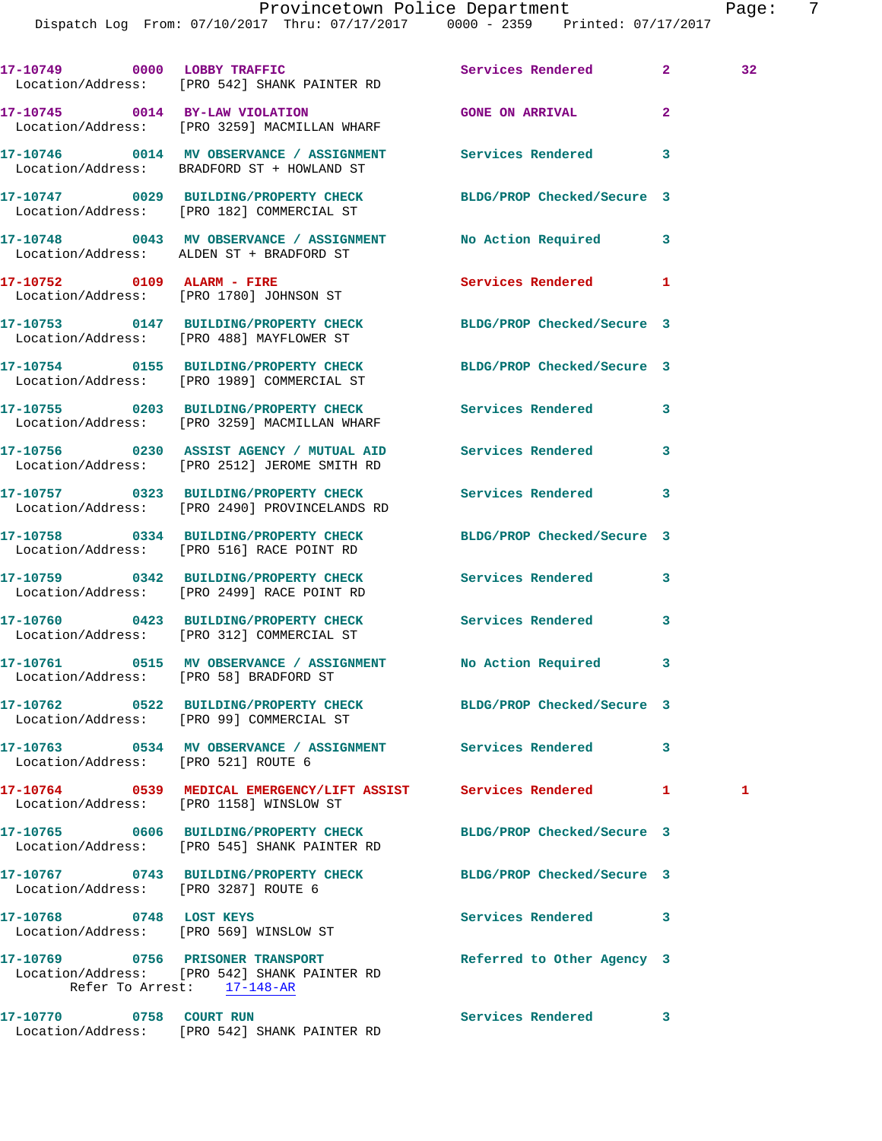Dispatch Log From: 07/10/2017 Thru: 07/17/2017 0000 - 2359 Printed: 07/17/2017

**17-10749 0000 LOBBY TRAFFIC Services Rendered 2 32**  Location/Address: [PRO 542] SHANK PAINTER RD **17-10745 0014 BY-LAW VIOLATION GONE ON ARRIVAL 2**  Location/Address: [PRO 3259] MACMILLAN WHARF **17-10746 0014 MV OBSERVANCE / ASSIGNMENT Services Rendered 3**  Location/Address: BRADFORD ST + HOWLAND ST **17-10747 0029 BUILDING/PROPERTY CHECK BLDG/PROP Checked/Secure 3**  Location/Address: [PRO 182] COMMERCIAL ST **17-10748 0043 MV OBSERVANCE / ASSIGNMENT No Action Required 3**  Location/Address: ALDEN ST + BRADFORD ST 17-10752 0109 ALARM - FIRE Services Rendered 1 Location/Address: [PRO 1780] JOHNSON ST **17-10753 0147 BUILDING/PROPERTY CHECK BLDG/PROP Checked/Secure 3**  Location/Address: [PRO 488] MAYFLOWER ST **17-10754 0155 BUILDING/PROPERTY CHECK BLDG/PROP Checked/Secure 3**  Location/Address: [PRO 1989] COMMERCIAL ST **17-10755 0203 BUILDING/PROPERTY CHECK Services Rendered 3**  Location/Address: [PRO 3259] MACMILLAN WHARF **17-10756 0230 ASSIST AGENCY / MUTUAL AID Services Rendered 3**  Location/Address: [PRO 2512] JEROME SMITH RD **17-10757 0323 BUILDING/PROPERTY CHECK Services Rendered 3**  Location/Address: [PRO 2490] PROVINCELANDS RD **17-10758 0334 BUILDING/PROPERTY CHECK BLDG/PROP Checked/Secure 3**  Location/Address: [PRO 516] RACE POINT RD **17-10759 0342 BUILDING/PROPERTY CHECK Services Rendered 3**  Location/Address: [PRO 2499] RACE POINT RD **17-10760 0423 BUILDING/PROPERTY CHECK Services Rendered 3**  Location/Address: [PRO 312] COMMERCIAL ST **17-10761 0515 MV OBSERVANCE / ASSIGNMENT No Action Required 3**  Location/Address: [PRO 58] BRADFORD ST **17-10762 0522 BUILDING/PROPERTY CHECK BLDG/PROP Checked/Secure 3**  Location/Address: [PRO 99] COMMERCIAL ST **17-10763 0534 MV OBSERVANCE / ASSIGNMENT Services Rendered 3**  Location/Address: [PRO 521] ROUTE 6 **17-10764 0539 MEDICAL EMERGENCY/LIFT ASSIST Services Rendered 1 1**  Location/Address: [PRO 1158] WINSLOW ST **17-10765 0606 BUILDING/PROPERTY CHECK BLDG/PROP Checked/Secure 3**  Location/Address: [PRO 545] SHANK PAINTER RD **17-10767 0743 BUILDING/PROPERTY CHECK BLDG/PROP Checked/Secure 3**  Location/Address: [PRO 3287] ROUTE 6 **17-10768 0748 LOST KEYS Services Rendered 3**  Location/Address: [PRO 569] WINSLOW ST **17-10769 0756 PRISONER TRANSPORT Referred to Other Agency 3**  Location/Address: [PRO 542] SHANK PAINTER RD Refer To Arrest: 17-148-AR **17-10770 0758 COURT RUN Services Rendered 3**  Location/Address: [PRO 542] SHANK PAINTER RD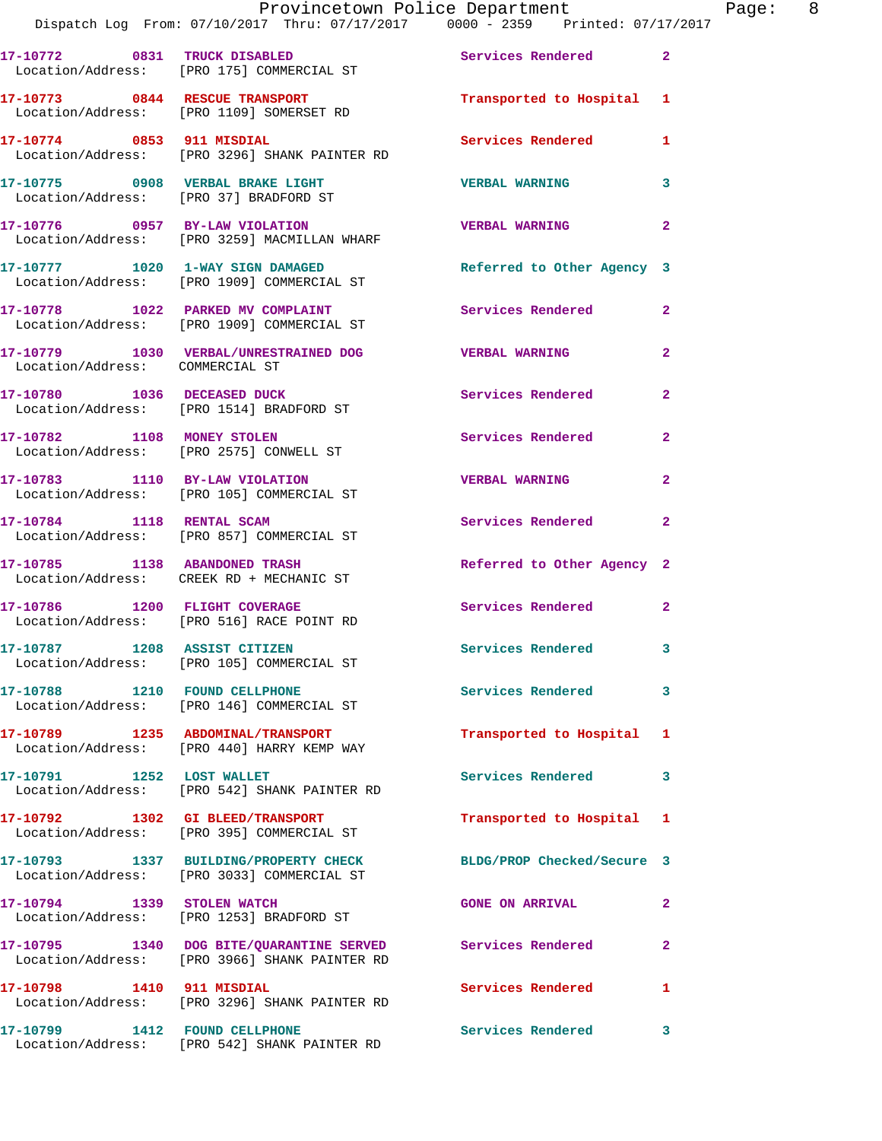|                                 | Provincetown Police Department The Page: 8<br>Dispatch Log From: 07/10/2017 Thru: 07/17/2017 0000 - 2359 Printed: 07/17/2017 |                            |                |
|---------------------------------|------------------------------------------------------------------------------------------------------------------------------|----------------------------|----------------|
|                                 | 17-10772 0831 TRUCK DISABLED<br>Location/Address: [PRO 175] COMMERCIAL ST                                                    | Services Rendered 2        |                |
|                                 | 17-10773 0844 RESCUE TRANSPORT <b>12 CONTACT 120 Transported</b> to Hospital 1<br>Location/Address: [PRO 1109] SOMERSET RD   |                            |                |
|                                 | 17-10774 0853 911 MISDIAL<br>Location/Address: [PRO 3296] SHANK PAINTER RD                                                   | Services Rendered 1        |                |
|                                 |                                                                                                                              | <b>VERBAL WARNING</b>      | $\mathbf{3}$   |
|                                 | 17-10776 0957 BY-LAW VIOLATION<br>Location/Address: [PRO 3259] MACMILLAN WHARF                                               | <b>VERBAL WARNING</b>      | $\mathbf{2}$   |
|                                 | 17-10777 1020 1-WAY SIGN DAMAGED Referred to Other Agency 3<br>Location/Address: [PRO 1909] COMMERCIAL ST                    |                            |                |
|                                 | 17-10778 1022 PARKED MV COMPLAINT Services Rendered<br>Location/Address: [PRO 1909] COMMERCIAL ST                            |                            | $\mathbf{2}$   |
| Location/Address: COMMERCIAL ST | 17-10779 1030 VERBAL/UNRESTRAINED DOG VERBAL WARNING                                                                         |                            | $\mathbf{2}$   |
|                                 | 17-10780 1036 DECEASED DUCK<br>Location/Address: [PRO 1514] BRADFORD ST                                                      | Services Rendered          | $\overline{2}$ |
|                                 | 17-10782 1108 MONEY STOLEN<br>Location/Address: [PRO 2575] CONWELL ST                                                        | Services Rendered          | $\mathbf{2}$   |
|                                 | 17-10783 1110 BY-LAW VIOLATION<br>Location/Address: [PRO 105] COMMERCIAL ST                                                  | <b>VERBAL WARNING</b>      | $\overline{2}$ |
|                                 | 17-10784 1118 RENTAL SCAM<br>Location/Address: [PRO 857] COMMERCIAL ST                                                       | Services Rendered          | 2              |
|                                 | 17-10785 1138 ABANDONED TRASH<br>Location/Address: CREEK RD + MECHANIC ST                                                    | Referred to Other Agency 2 |                |
|                                 | 17-10786 1200 FLIGHT COVERAGE<br>Location/Address: [PRO 516] RACE POINT RD                                                   | Services Rendered 2        |                |
|                                 | 17-10787 1208 ASSIST CITIZEN<br>Location/Address: [PRO 105] COMMERCIAL ST                                                    | <b>Services Rendered</b>   |                |
|                                 | 17-10788 1210 FOUND CELLPHONE<br>Location/Address: [PRO 146] COMMERCIAL ST                                                   | <b>Services Rendered</b>   | 3              |
|                                 | 17-10789 1235 ABDOMINAL/TRANSPORT<br>Location/Address: [PRO 440] HARRY KEMP WAY                                              | Transported to Hospital 1  |                |
|                                 | 17-10791 1252 LOST WALLET<br>Location/Address: [PRO 542] SHANK PAINTER RD                                                    | Services Rendered          | 3              |
|                                 | 17-10792 1302 GI BLEED/TRANSPORT<br>Location/Address: [PRO 395] COMMERCIAL ST                                                | Transported to Hospital 1  |                |
|                                 | 17-10793 1337 BUILDING/PROPERTY CHECK<br>Location/Address: [PRO 3033] COMMERCIAL ST                                          | BLDG/PROP Checked/Secure 3 |                |
| 17-10794 1339 STOLEN WATCH      | Location/Address: [PRO 1253] BRADFORD ST                                                                                     | <b>GONE ON ARRIVAL</b>     | $\mathbf{2}$   |
|                                 | 17-10795 1340 DOG BITE/QUARANTINE SERVED Services Rendered<br>Location/Address: [PRO 3966] SHANK PAINTER RD                  |                            | 2              |
| 17-10798 1410 911 MISDIAL       | Location/Address: [PRO 3296] SHANK PAINTER RD                                                                                | Services Rendered          | 1              |
|                                 | 17-10799 1412 FOUND CELLPHONE<br>Location/Address: [PRO 542] SHANK PAINTER RD                                                | Services Rendered          | 3              |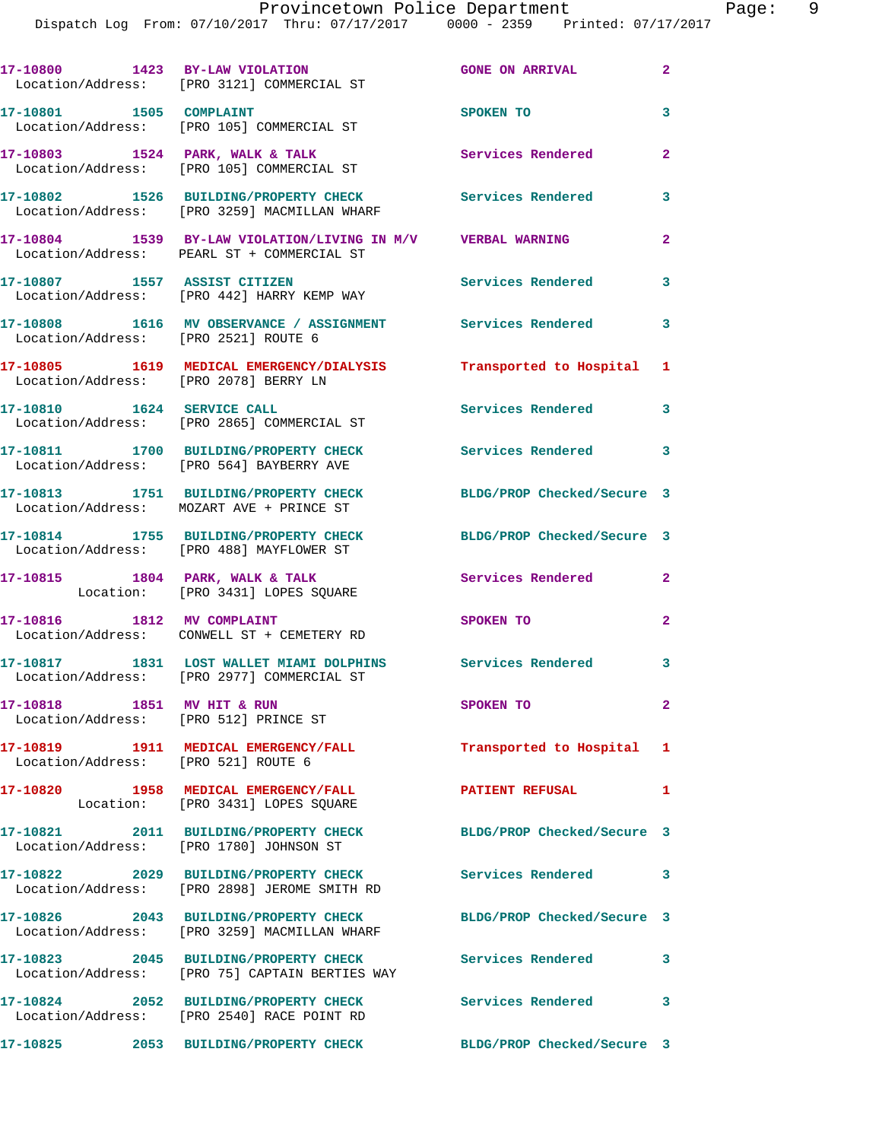**17-10800 1423 BY-LAW VIOLATION GONE ON ARRIVAL 2**  Location/Address: [PRO 3121] COMMERCIAL ST **17-10801 1505 COMPLAINT SPOKEN TO 3**  Location/Address: [PRO 105] COMMERCIAL ST **17-10803 1524 PARK, WALK & TALK Services Rendered 2**  Location/Address: [PRO 105] COMMERCIAL ST **17-10802 1526 BUILDING/PROPERTY CHECK Services Rendered 3**  Location/Address: [PRO 3259] MACMILLAN WHARF **17-10804 1539 BY-LAW VIOLATION/LIVING IN M/V VERBAL WARNING 2**  Location/Address: PEARL ST + COMMERCIAL ST **17-10807 1557 ASSIST CITIZEN Services Rendered 3**  Location/Address: [PRO 442] HARRY KEMP WAY **17-10808 1616 MV OBSERVANCE / ASSIGNMENT Services Rendered 3**  Location/Address: [PRO 2521] ROUTE 6 **17-10805 1619 MEDICAL EMERGENCY/DIALYSIS Transported to Hospital 1**  Location/Address: [PRO 2078] BERRY LN **17-10810 1624 SERVICE CALL Services Rendered 3**  Location/Address: [PRO 2865] COMMERCIAL ST **17-10811 1700 BUILDING/PROPERTY CHECK Services Rendered 3**  Location/Address: [PRO 564] BAYBERRY AVE **17-10813 1751 BUILDING/PROPERTY CHECK BLDG/PROP Checked/Secure 3**  Location/Address: MOZART AVE + PRINCE ST **17-10814 1755 BUILDING/PROPERTY CHECK BLDG/PROP Checked/Secure 3**  Location/Address: [PRO 488] MAYFLOWER ST 17-10815 1804 PARK, WALK & TALK **Services Rendered** 2 Location: [PRO 3431] LOPES SQUARE **17-10816 1812 MV COMPLAINT SPOKEN TO 2**  Location/Address: CONWELL ST + CEMETERY RD **17-10817 1831 LOST WALLET MIAMI DOLPHINS Services Rendered 3**  Location/Address: [PRO 2977] COMMERCIAL ST **17-10818 1851 MV HIT & RUN SPOKEN TO 2**  Location/Address: [PRO 512] PRINCE ST **17-10819 1911 MEDICAL EMERGENCY/FALL Transported to Hospital 1**  Location/Address: [PRO 521] ROUTE 6 **17-10820 1958 MEDICAL EMERGENCY/FALL PATIENT REFUSAL 1**  Location: [PRO 3431] LOPES SQUARE **17-10821 2011 BUILDING/PROPERTY CHECK BLDG/PROP Checked/Secure 3**  Location/Address: [PRO 1780] JOHNSON ST **17-10822 2029 BUILDING/PROPERTY CHECK Services Rendered 3**  Location/Address: [PRO 2898] JEROME SMITH RD **17-10826 2043 BUILDING/PROPERTY CHECK BLDG/PROP Checked/Secure 3**  Location/Address: [PRO 3259] MACMILLAN WHARF **17-10823 2045 BUILDING/PROPERTY CHECK Services Rendered 3**  Location/Address: [PRO 75] CAPTAIN BERTIES WAY **17-10824 2052 BUILDING/PROPERTY CHECK Services Rendered 3**  Location/Address: [PRO 2540] RACE POINT RD **17-10825 2053 BUILDING/PROPERTY CHECK BLDG/PROP Checked/Secure 3**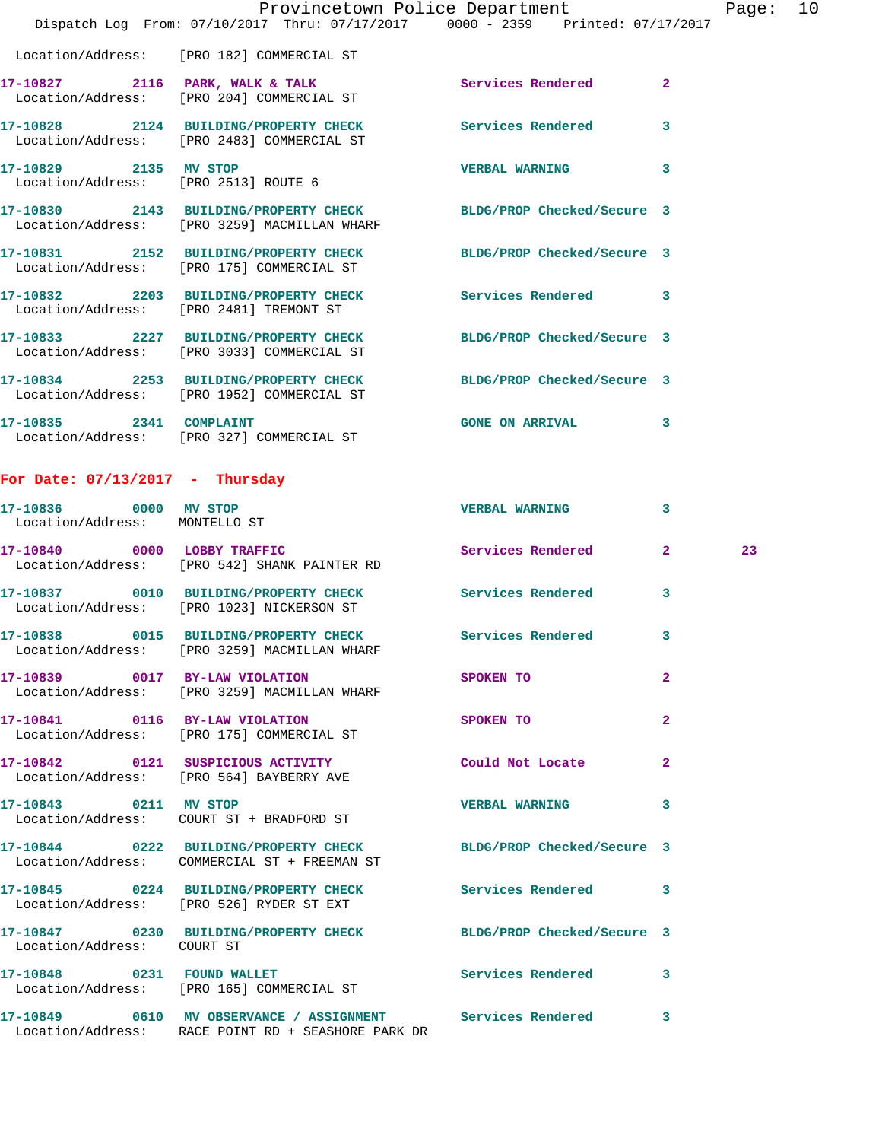|                         |                                                                                                                  | Provincetown Police Department | Page: 10                |
|-------------------------|------------------------------------------------------------------------------------------------------------------|--------------------------------|-------------------------|
|                         | Dispatch Log From: 07/10/2017 Thru: 07/17/2017 0000 - 2359 Printed: 07/17/2017                                   |                                |                         |
|                         | Location/Address: [PRO 182] COMMERCIAL ST                                                                        |                                |                         |
|                         | 17-10827 2116 PARK, WALK & TALK 2008 Services Rendered<br>Location/Address: [PRO 204] COMMERCIAL ST              |                                | $\overline{2}$          |
|                         | 17-10828 2124 BUILDING/PROPERTY CHECK Services Rendered<br>Location/Address: [PRO 2483] COMMERCIAL ST            |                                | $\overline{\mathbf{3}}$ |
|                         | 17-10829 2135 MV STOP<br>Location/Address: [PRO 2513] ROUTE 6                                                    | <b>VERBAL WARNING</b>          | 3                       |
|                         | 17-10830 2143 BUILDING/PROPERTY CHECK BLDG/PROP Checked/Secure 3<br>Location/Address: [PRO 3259] MACMILLAN WHARF |                                |                         |
|                         | 17-10831 2152 BUILDING/PROPERTY CHECK BLDG/PROP Checked/Secure 3<br>Location/Address: [PRO 175] COMMERCIAL ST    |                                |                         |
|                         | 17-10832 2203 BUILDING/PROPERTY CHECK Services Rendered<br>Location/Address: [PRO 2481] TREMONT ST               |                                | $\overline{\mathbf{3}}$ |
|                         | 17-10833 2227 BUILDING/PROPERTY CHECK BLDG/PROP Checked/Secure 3<br>Location/Address: [PRO 3033] COMMERCIAL ST   |                                |                         |
|                         | 17-10834 2253 BUILDING/PROPERTY CHECK BLDG/PROP Checked/Secure 3<br>Location/Address: [PRO 1952] COMMERCIAL ST   |                                |                         |
| 17-10835 2341 COMPLAINT | Location/Address: [PRO 327] COMMERCIAL ST                                                                        | <b>GONE ON ARRIVAL</b>         | 3                       |

## **For Date: 07/13/2017 - Thursday**

Location/Address: RACE POINT RD + SEASHORE PARK DR

| 17-10836 0000 MV STOP<br>Location/Address: MONTELLO ST |                                                                                       | <b>VERBAL WARNING</b>      | 3                       |    |
|--------------------------------------------------------|---------------------------------------------------------------------------------------|----------------------------|-------------------------|----|
| 17-10840 0000 LOBBY TRAFFIC                            | Location/Address: [PRO 542] SHANK PAINTER RD                                          | Services Rendered          | $\overline{2}$          | 23 |
|                                                        | Location/Address: [PRO 1023] NICKERSON ST                                             | <b>Services Rendered</b>   | $\overline{\mathbf{3}}$ |    |
|                                                        | 17-10838 0015 BUILDING/PROPERTY CHECK<br>Location/Address: [PRO 3259] MACMILLAN WHARF | Services Rendered          | $\overline{\mathbf{3}}$ |    |
|                                                        | 17-10839 0017 BY-LAW VIOLATION<br>Location/Address: [PRO 3259] MACMILLAN WHARF        | SPOKEN TO                  | $\overline{2}$          |    |
|                                                        | 17-10841 0116 BY-LAW VIOLATION<br>Location/Address: [PRO 175] COMMERCIAL ST           | SPOKEN TO                  | $\overline{2}$          |    |
|                                                        | 17-10842 0121 SUSPICIOUS ACTIVITY<br>Location/Address: [PRO 564] BAYBERRY AVE         | Could Not Locate           | $\overline{2}$          |    |
| 17-10843 0211 MV STOP                                  | Location/Address: COURT ST + BRADFORD ST                                              | <b>VERBAL WARNING</b>      | 3                       |    |
|                                                        | 17-10844 0222 BUILDING/PROPERTY CHECK<br>Location/Address: COMMERCIAL ST + FREEMAN ST | BLDG/PROP Checked/Secure 3 |                         |    |
|                                                        | 17-10845 0224 BUILDING/PROPERTY CHECK<br>Location/Address: [PRO 526] RYDER ST EXT     | <b>Services Rendered</b>   | 3                       |    |
| Location/Address: COURT ST                             | 17-10847 0230 BUILDING/PROPERTY CHECK BLDG/PROP Checked/Secure 3                      |                            |                         |    |
|                                                        | 17-10848 0231 FOUND WALLET<br>Location/Address: [PRO 165] COMMERCIAL ST               | <b>Services Rendered</b>   | 3                       |    |
|                                                        |                                                                                       |                            | 3                       |    |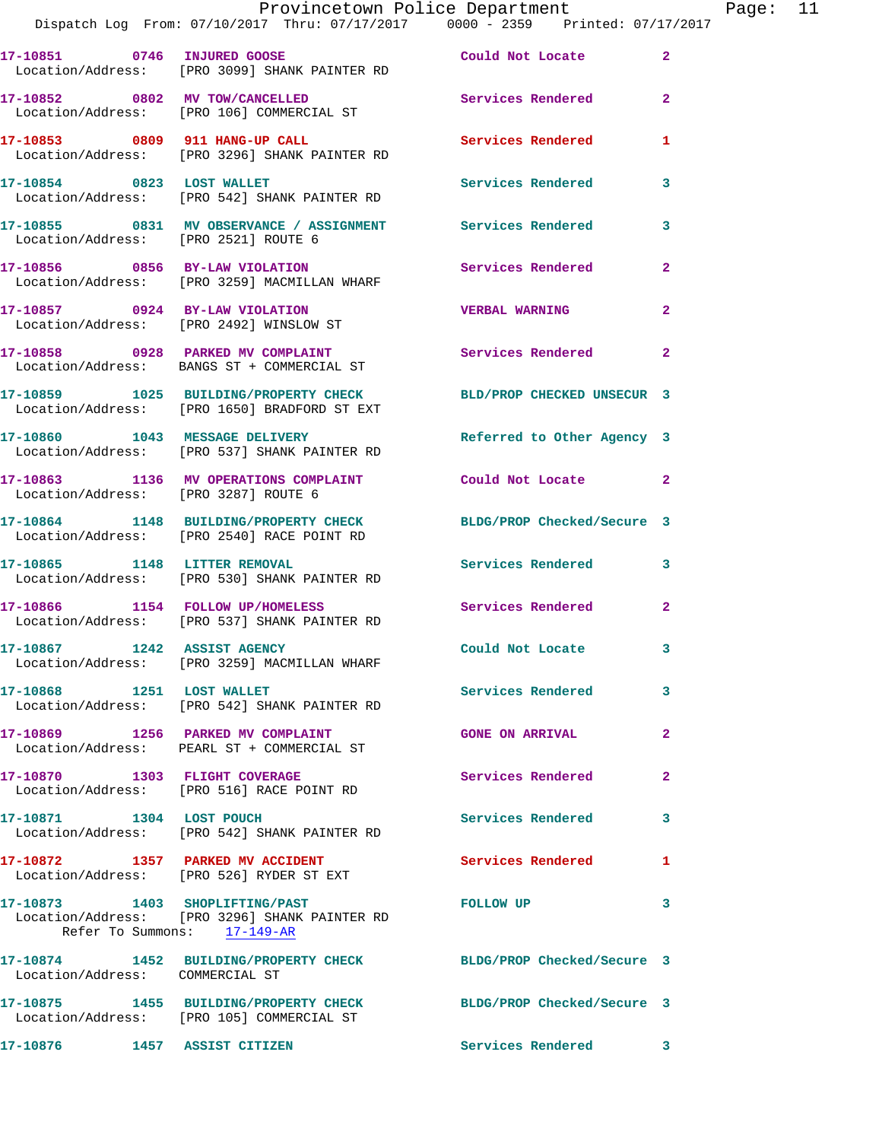|                                                                           | Provincetown Police Department<br>Dispatch Log From: 07/10/2017 Thru: 07/17/2017 0000 - 2359 Printed: 07/17/2017 |                          |                |
|---------------------------------------------------------------------------|------------------------------------------------------------------------------------------------------------------|--------------------------|----------------|
|                                                                           | Location/Address: [PRO 3099] SHANK PAINTER RD                                                                    |                          | $\overline{2}$ |
|                                                                           | 17-10852 0802 MV TOW/CANCELLED<br>Location/Address: [PRO 106] COMMERCIAL ST                                      | Services Rendered        | $\overline{2}$ |
|                                                                           | Location/Address: [PRO 3296] SHANK PAINTER RD                                                                    | <b>Services Rendered</b> | $\mathbf{1}$   |
|                                                                           | 17-10854 0823 LOST WALLET<br>Location/Address: [PRO 542] SHANK PAINTER RD                                        | <b>Services Rendered</b> | 3              |
| Location/Address: [PRO 2521] ROUTE 6                                      | 17-10855 6831 MV OBSERVANCE / ASSIGNMENT Services Rendered                                                       |                          | 3              |
|                                                                           | 17-10856 68Y-LAW VIOLATION 17-10856 Rendered<br>Location/Address: [PRO 3259] MACMILLAN WHARF                     |                          | $\overline{2}$ |
| 17-10857 0924 BY-LAW VIOLATION<br>Location/Address: [PRO 2492] WINSLOW ST |                                                                                                                  | <b>VERBAL WARNING</b>    | $\overline{2}$ |
| 17-10858                                                                  | 0928 PARKED MV COMPLAINT                                                                                         | Services Rendered        | $\overline{a}$ |

 Location/Address: BANGS ST + COMMERCIAL ST **17-10859 1025 BUILDING/PROPERTY CHECK BLD/PROP CHECKED UNSECUR 3** 

Location/Address: [PRO 1650] BRADFORD ST EXT

**17-10860 1043 MESSAGE DELIVERY Referred to Other Agency 3**  Location/Address: [PRO 537] SHANK PAINTER RD

**17-10863 1136 MV OPERATIONS COMPLAINT Could Not Locate 2**  Location/Address: [PRO 3287] ROUTE 6

**17-10864 1148 BUILDING/PROPERTY CHECK BLDG/PROP Checked/Secure 3**  Location/Address: [PRO 2540] RACE POINT RD

**17-10865 1148 LITTER REMOVAL Services Rendered 3**  Location/Address: [PRO 530] SHANK PAINTER RD

**17-10866 1154 FOLLOW UP/HOMELESS Services Rendered 2**  Location/Address: [PRO 537] SHANK PAINTER RD

**17-10867 1242 ASSIST AGENCY Could Not Locate 3**  Location/Address: [PRO 3259] MACMILLAN WHARF

**17-10868 1251 LOST WALLET Services Rendered 3**  Location/Address: [PRO 542] SHANK PAINTER RD

**17-10869 1256 PARKED MV COMPLAINT GONE ON ARRIVAL 2**  Location/Address: PEARL ST + COMMERCIAL ST

**17-10870 1303 FLIGHT COVERAGE Services Rendered 2**  Location/Address: [PRO 516] RACE POINT RD

**17-10871 1304 LOST POUCH Services Rendered 3**  Location/Address: [PRO 542] SHANK PAINTER RD

17-10872 1357 PARKED MV ACCIDENT **Services Rendered** 1 Location/Address: [PRO 526] RYDER ST EXT

**17-10873 1403 SHOPLIFTING/PAST FOLLOW UP 3**  Location/Address: [PRO 3296] SHANK PAINTER RD Refer To Summons: 17-149-AR

**17-10874 1452 BUILDING/PROPERTY CHECK BLDG/PROP Checked/Secure 3**  Location/Address: COMMERCIAL ST **17-10875 1455 BUILDING/PROPERTY CHECK BLDG/PROP Checked/Secure 3**  Location/Address: [PRO 105] COMMERCIAL ST **17-10876 1457 ASSIST CITIZEN Services Rendered 3**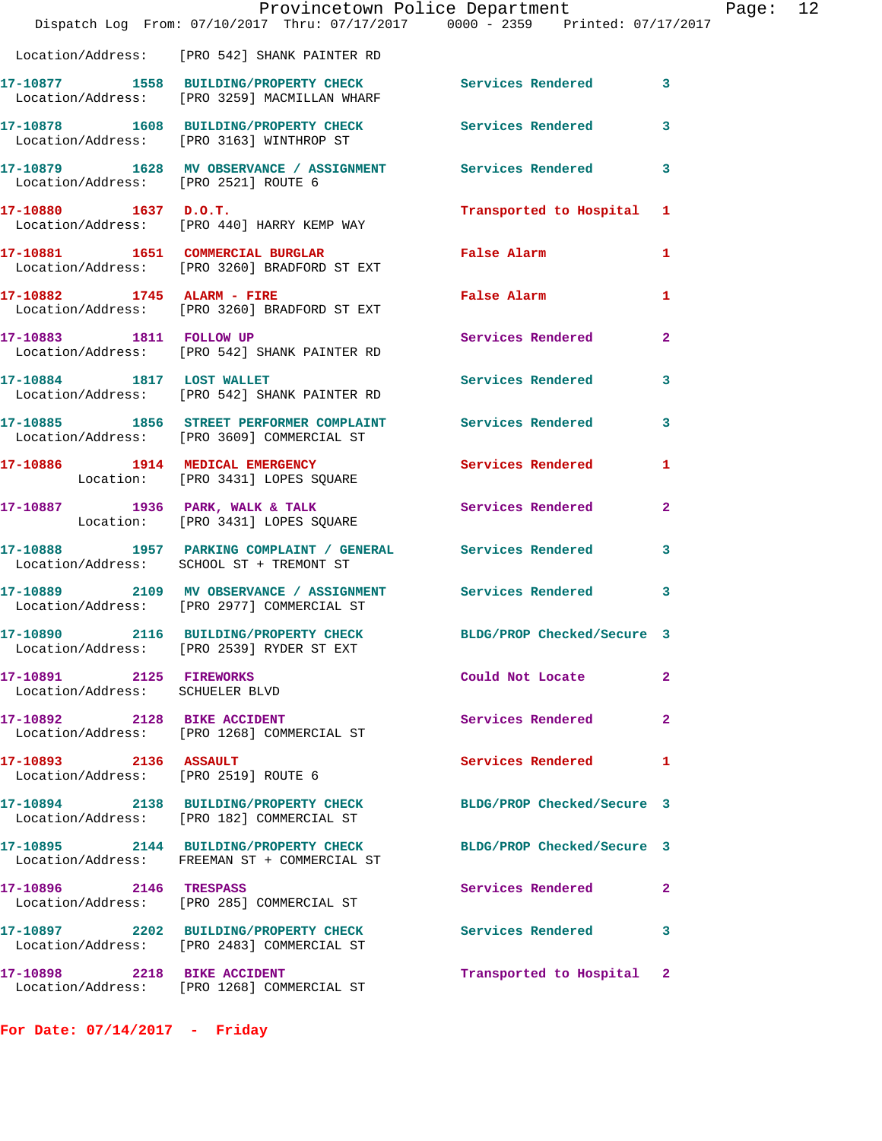|                                                               | Provincetown Police Department<br>Dispatch Log From: 07/10/2017 Thru: 07/17/2017 0000 - 2359 Printed: 07/17/2017 |                            |                |
|---------------------------------------------------------------|------------------------------------------------------------------------------------------------------------------|----------------------------|----------------|
|                                                               | Location/Address: [PRO 542] SHANK PAINTER RD                                                                     |                            |                |
|                                                               | 17-10877 1558 BUILDING/PROPERTY CHECK Services Rendered<br>Location/Address: [PRO 3259] MACMILLAN WHARF          |                            | 3              |
|                                                               | 17-10878 1608 BUILDING/PROPERTY CHECK<br>Location/Address: [PRO 3163] WINTHROP ST                                | Services Rendered          | 3              |
| Location/Address: [PRO 2521] ROUTE 6                          | 17-10879 1628 MV OBSERVANCE / ASSIGNMENT Services Rendered                                                       |                            | 3              |
| 17-10880 1637 D.O.T.                                          | Location/Address: [PRO 440] HARRY KEMP WAY                                                                       | Transported to Hospital    | 1              |
|                                                               | 17-10881 1651 COMMERCIAL BURGLAR<br>Location/Address: [PRO 3260] BRADFORD ST EXT                                 | False Alarm                | 1              |
| 17-10882 1745 ALARM - FIRE                                    | Location/Address: [PRO 3260] BRADFORD ST EXT                                                                     | False Alarm                | 1              |
|                                                               | 17-10883 1811 FOLLOW UP<br>Location/Address: [PRO 542] SHANK PAINTER RD                                          | <b>Services Rendered</b>   | $\mathbf{2}$   |
|                                                               | 17-10884 1817 LOST WALLET<br>Location/Address: [PRO 542] SHANK PAINTER RD                                        | <b>Services Rendered</b>   | 3              |
|                                                               | 17-10885 1856 STREET PERFORMER COMPLAINT Services Rendered<br>Location/Address: [PRO 3609] COMMERCIAL ST         |                            | 3              |
|                                                               | 17-10886 1914 MEDICAL EMERGENCY<br>Location: [PRO 3431] LOPES SQUARE                                             | Services Rendered          | 1              |
|                                                               | 17-10887 1936 PARK, WALK & TALK<br>Location: [PRO 3431] LOPES SQUARE                                             | <b>Services Rendered</b>   | $\overline{a}$ |
|                                                               | 17-10888 1957 PARKING COMPLAINT / GENERAL Services Rendered<br>Location/Address: SCHOOL ST + TREMONT ST          |                            | 3              |
|                                                               | 17-10889 2109 MV OBSERVANCE / ASSIGNMENT Services Rendered<br>Location/Address: [PRO 2977] COMMERCIAL ST         |                            | 3              |
|                                                               | 17-10890  2116 BUILDING/PROPERTY CHECK<br>Location/Address: [PRO 2539] RYDER ST EXT                              | BLDG/PROP Checked/Secure 3 |                |
| 17-10891 2125 FIREWORKS<br>Location/Address: SCHUELER BLVD    |                                                                                                                  | Could Not Locate           | $\mathbf{2}$   |
| 17-10892 2128 BIKE ACCIDENT                                   | Location/Address: [PRO 1268] COMMERCIAL ST                                                                       | Services Rendered          | $\mathbf{2}$   |
| 17-10893 2136 ASSAULT<br>Location/Address: [PRO 2519] ROUTE 6 |                                                                                                                  | Services Rendered          | 1              |
|                                                               | 17-10894 2138 BUILDING/PROPERTY CHECK<br>Location/Address: [PRO 182] COMMERCIAL ST                               | BLDG/PROP Checked/Secure 3 |                |
|                                                               | 17-10895 2144 BUILDING/PROPERTY CHECK<br>Location/Address: FREEMAN ST + COMMERCIAL ST                            | BLDG/PROP Checked/Secure 3 |                |
| 17-10896 2146 TRESPASS                                        | Location/Address: [PRO 285] COMMERCIAL ST                                                                        | Services Rendered          | 2              |
|                                                               | 17-10897 2202 BUILDING/PROPERTY CHECK<br>Location/Address: [PRO 2483] COMMERCIAL ST                              | <b>Services Rendered</b>   | 3              |
| 17-10898 2218 BIKE ACCIDENT                                   | Location/Address: [PRO 1268] COMMERCIAL ST                                                                       | Transported to Hospital    | 2              |

**For Date: 07/14/2017 - Friday**

Page:  $12$ <br>17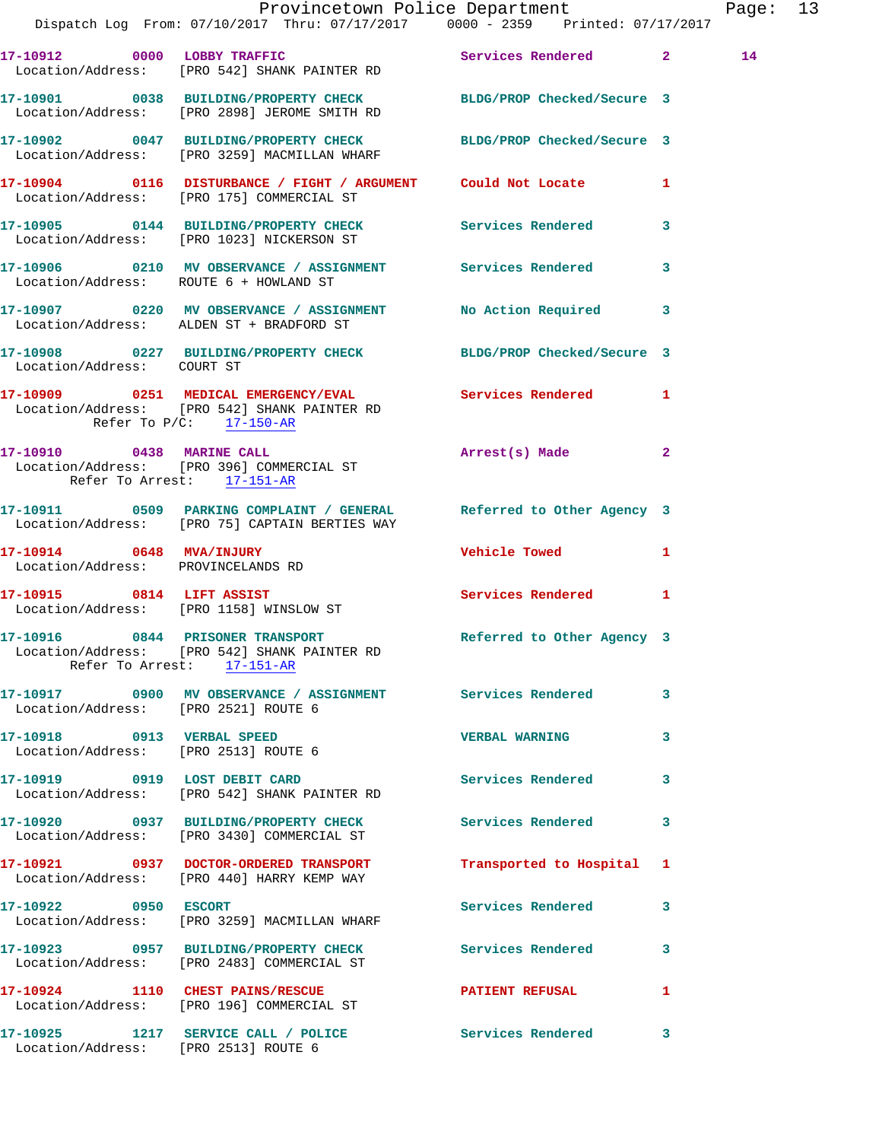|                                                                    | Dispatch Log From: 07/10/2017 Thru: 07/17/2017 0000 - 2359 Printed: 07/17/2017                                                            | Provincetown Police Department |              | Page: 13 |  |
|--------------------------------------------------------------------|-------------------------------------------------------------------------------------------------------------------------------------------|--------------------------------|--------------|----------|--|
|                                                                    | 17-10912 0000 LOBBY TRAFFIC Services Rendered 2<br>Location/Address: [PRO 542] SHANK PAINTER RD                                           |                                |              | 14       |  |
|                                                                    | 17-10901 0038 BUILDING/PROPERTY CHECK BLDG/PROP Checked/Secure 3<br>Location/Address: [PRO 2898] JEROME SMITH RD                          |                                |              |          |  |
|                                                                    | 17-10902 0047 BUILDING/PROPERTY CHECK BLDG/PROP Checked/Secure 3<br>Location/Address: [PRO 3259] MACMILLAN WHARF                          |                                |              |          |  |
|                                                                    | 17-10904 0116 DISTURBANCE / FIGHT / ARGUMENT Could Not Locate 1<br>Location/Address: [PRO 175] COMMERCIAL ST                              |                                |              |          |  |
|                                                                    | 17-10905 0144 BUILDING/PROPERTY CHECK Services Rendered 3<br>Location/Address: [PRO 1023] NICKERSON ST                                    |                                |              |          |  |
| Location/Address: ROUTE 6 + HOWLAND ST                             | 17-10906 0210 MV OBSERVANCE / ASSIGNMENT Services Rendered 3                                                                              |                                |              |          |  |
|                                                                    | 17-10907 0220 MV OBSERVANCE / ASSIGNMENT No Action Required 3<br>Location/Address: ALDEN ST + BRADFORD ST                                 |                                |              |          |  |
| Location/Address: COURT ST                                         | 17-10908 0227 BUILDING/PROPERTY CHECK BLDG/PROP Checked/Secure 3                                                                          |                                |              |          |  |
|                                                                    | 17-10909 0251 MEDICAL EMERGENCY/EVAL Services Rendered 1<br>Location/Address: [PRO 542] SHANK PAINTER RD<br>Refer To $P/C$ : 17-150-AR    |                                |              |          |  |
| Refer To Arrest: 17-151-AR                                         | 17-10910 0438 MARINE CALL<br>Location/Address: [PRO 396] COMMERCIAL ST                                                                    | Arrest(s) Made 2               |              |          |  |
|                                                                    | 17-10911 0509 PARKING COMPLAINT / GENERAL Referred to Other Agency 3<br>Location/Address: [PRO 75] CAPTAIN BERTIES WAY                    |                                |              |          |  |
| 17-10914 0648 MVA/INJURY<br>Location/Address: PROVINCELANDS RD     |                                                                                                                                           | Vehicle Towed 1                |              |          |  |
|                                                                    | 17-10915 0814 LIFT ASSIST<br>Location/Address: [PRO 1158] WINSLOW ST                                                                      | Services Rendered 1            |              |          |  |
|                                                                    | 17-10916 0844 PRISONER TRANSPORT Referred to Other Agency 3<br>Location/Address: [PRO 542] SHANK PAINTER RD<br>Refer To Arrest: 17-151-AR |                                |              |          |  |
| Location/Address: [PRO 2521] ROUTE 6                               | 17-10917 0900 MV OBSERVANCE / ASSIGNMENT Services Rendered 3                                                                              |                                |              |          |  |
| 17-10918 0913 VERBAL SPEED<br>Location/Address: [PRO 2513] ROUTE 6 |                                                                                                                                           | VERBAL WARNING 3               |              |          |  |
|                                                                    | 17-10919 0919 LOST DEBIT CARD<br>Location/Address: [PRO 542] SHANK PAINTER RD                                                             | <b>Services Rendered</b>       | $\mathbf{3}$ |          |  |
|                                                                    | 17-10920 0937 BUILDING/PROPERTY CHECK Services Rendered<br>Location/Address: [PRO 3430] COMMERCIAL ST                                     |                                | $\mathbf{3}$ |          |  |
|                                                                    | 17-10921 0937 DOCTOR-ORDERED TRANSPORT<br>Location/Address: [PRO 440] HARRY KEMP WAY                                                      | Transported to Hospital 1      |              |          |  |
| 17-10922 0950 ESCORT                                               | Location/Address: [PRO 3259] MACMILLAN WHARF                                                                                              | Services Rendered 3            |              |          |  |
|                                                                    | 17-10923 0957 BUILDING/PROPERTY CHECK Services Rendered 3<br>Location/Address: [PRO 2483] COMMERCIAL ST                                   |                                |              |          |  |
|                                                                    | 17-10924 1110 CHEST PAINS/RESCUE<br>Location/Address: [PRO 196] COMMERCIAL ST                                                             | PATIENT REFUSAL 1              |              |          |  |
| Location/Address: [PRO 2513] ROUTE 6                               | 17-10925 1217 SERVICE CALL / POLICE Services Rendered 3                                                                                   |                                |              |          |  |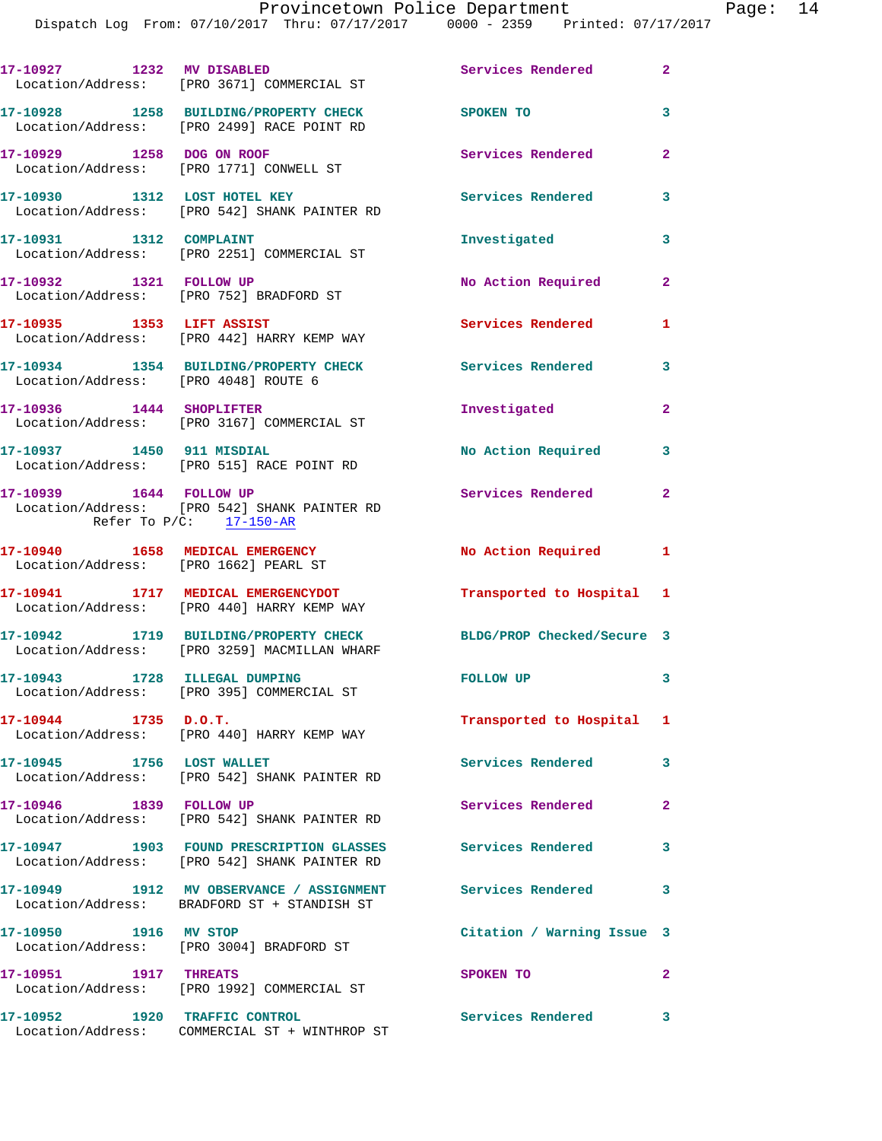| 17-10927 1232 MV DISABLED                                                | Location/Address: [PRO 3671] COMMERCIAL ST                                                                 | Services Rendered 2        |                |
|--------------------------------------------------------------------------|------------------------------------------------------------------------------------------------------------|----------------------------|----------------|
|                                                                          | 17-10928 1258 BUILDING/PROPERTY CHECK<br>Location/Address: [PRO 2499] RACE POINT RD                        | SPOKEN TO                  | 3              |
| 17-10929 1258 DOG ON ROOF                                                | Location/Address: [PRO 1771] CONWELL ST                                                                    | Services Rendered          | $\overline{2}$ |
| 17-10930 1312 LOST HOTEL KEY                                             | Location/Address: [PRO 542] SHANK PAINTER RD                                                               | Services Rendered          | 3              |
| 17-10931 1312 COMPLAINT                                                  | Location/Address: [PRO 2251] COMMERCIAL ST                                                                 | Investigated               | $\mathbf{3}$   |
| 17-10932 1321 FOLLOW UP                                                  | Location/Address: [PRO 752] BRADFORD ST                                                                    | No Action Required         | $\mathbf{2}$   |
| 17-10935 1353 LIFT ASSIST                                                | Location/Address: [PRO 442] HARRY KEMP WAY                                                                 | <b>Services Rendered</b>   | $\mathbf{1}$   |
| Location/Address: [PRO 4048] ROUTE 6                                     | 17-10934 1354 BUILDING/PROPERTY CHECK                                                                      | Services Rendered          | 3              |
| 17-10936 1444 SHOPLIFTER                                                 | Location/Address: [PRO 3167] COMMERCIAL ST                                                                 | Investigated               | $\mathbf{2}$   |
|                                                                          | 17-10937 1450 911 MISDIAL<br>Location/Address: [PRO 515] RACE POINT RD                                     | No Action Required         | 3              |
| 17-10939 1644 FOLLOW UP<br>Refer To $P/C$ : 17-150-AR                    | Location/Address: [PRO 542] SHANK PAINTER RD                                                               | Services Rendered          | $\overline{2}$ |
| 17-10940 1658 MEDICAL EMERGENCY<br>Location/Address: [PRO 1662] PEARL ST |                                                                                                            | No Action Required 1       |                |
|                                                                          | 17-10941 1717 MEDICAL EMERGENCYDOT<br>Location/Address: [PRO 440] HARRY KEMP WAY                           | Transported to Hospital 1  |                |
|                                                                          | 17-10942 1719 BUILDING/PROPERTY CHECK<br>Location/Address: [PRO 3259] MACMILLAN WHARF                      | BLDG/PROP Checked/Secure 3 |                |
|                                                                          | Location/Address: [PRO 395] COMMERCIAL ST                                                                  | <b>FOLLOW UP</b>           | $\mathbf{3}$   |
| $17 - 10944$ 1735 D.O.T.                                                 | Location/Address: [PRO 440] HARRY KEMP WAY                                                                 | Transported to Hospital 1  |                |
| 17-10945 1756 LOST WALLET                                                | Location/Address: [PRO 542] SHANK PAINTER RD                                                               | <b>Services Rendered</b>   | 3              |
| 17-10946 1839 FOLLOW UP                                                  | Location/Address: [PRO 542] SHANK PAINTER RD                                                               | Services Rendered          | $\mathbf{2}$   |
|                                                                          | 17-10947 1903 FOUND PRESCRIPTION GLASSES Services Rendered<br>Location/Address: [PRO 542] SHANK PAINTER RD |                            | 3              |
|                                                                          | 17-10949 1912 MV OBSERVANCE / ASSIGNMENT<br>Location/Address: BRADFORD ST + STANDISH ST                    | <b>Services Rendered</b>   | 3              |
| 17-10950 1916 MV STOP                                                    | Location/Address: [PRO 3004] BRADFORD ST                                                                   | Citation / Warning Issue 3 |                |
| 17-10951 1917 THREATS                                                    | Location/Address: [PRO 1992] COMMERCIAL ST                                                                 | SPOKEN TO                  | $\mathbf{2}$   |
| 17-10952 1920 TRAFFIC CONTROL                                            | Location/Address: COMMERCIAL ST + WINTHROP ST                                                              | Services Rendered          | 3              |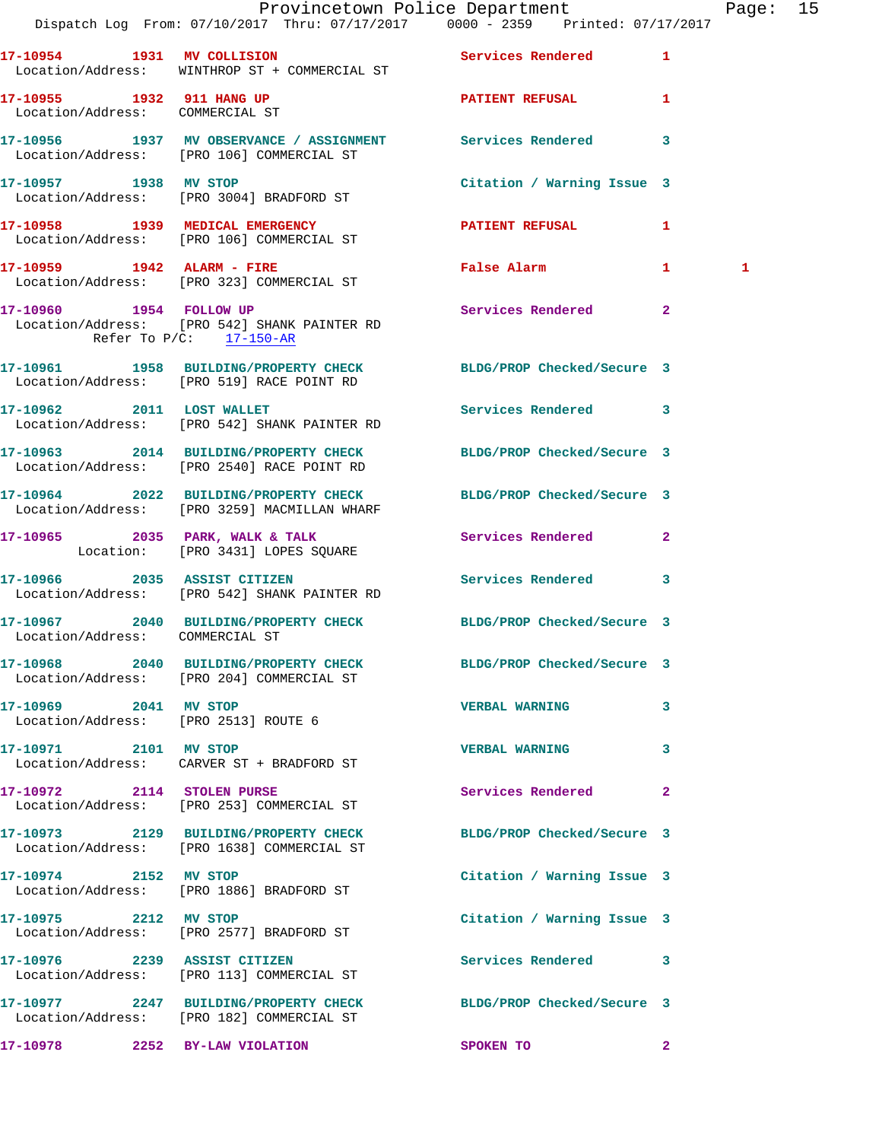|                                                               |                                                                                                       | Provincetown Police Department<br>Dispatch Log From: 07/10/2017 Thru: 07/17/2017 0000 - 2359 Printed: 07/17/2017 | Page: 15 |  |
|---------------------------------------------------------------|-------------------------------------------------------------------------------------------------------|------------------------------------------------------------------------------------------------------------------|----------|--|
|                                                               | Location/Address: WINTHROP ST + COMMERCIAL ST                                                         | 17-10954 1931 MV COLLISION 5ervices Rendered 1                                                                   |          |  |
| 17-10955 1932 911 HANG UP<br>Location/Address: COMMERCIAL ST  |                                                                                                       | <b>PATIENT REFUSAL</b> 1                                                                                         |          |  |
|                                                               |                                                                                                       | 17-10956 1937 MV OBSERVANCE / ASSIGNMENT Services Rendered 3<br>Location/Address: [PRO 106] COMMERCIAL ST        |          |  |
| 17-10957 1938 MV STOP                                         | Location/Address: [PRO 3004] BRADFORD ST                                                              | Citation / Warning Issue 3                                                                                       |          |  |
|                                                               | 17-10958 1939 MEDICAL EMERGENCY<br>Location/Address: [PRO 106] COMMERCIAL ST                          | PATIENT REFUSAL 1                                                                                                |          |  |
|                                                               | 17-10959 1942 ALARM - FIRE<br>Location/Address: [PRO 323] COMMERCIAL ST                               | False Alarm<br>$\mathbf{1}$                                                                                      | 1        |  |
|                                                               | 17-10960 1954 FOLLOW UP<br>Location/Address: [PRO 542] SHANK PAINTER RD<br>Refer To $P/C$ : 17-150-AR | Services Rendered 2                                                                                              |          |  |
|                                                               | Location/Address: [PRO 519] RACE POINT RD                                                             | 17-10961 1958 BUILDING/PROPERTY CHECK BLDG/PROP Checked/Secure 3                                                 |          |  |
| 17-10962 2011 LOST WALLET                                     | Location/Address: [PRO 542] SHANK PAINTER RD                                                          | Services Rendered 3                                                                                              |          |  |
|                                                               |                                                                                                       | 17-10963 2014 BUILDING/PROPERTY CHECK BLDG/PROP Checked/Secure 3<br>Location/Address: [PRO 2540] RACE POINT RD   |          |  |
|                                                               | Location/Address: [PRO 3259] MACMILLAN WHARF                                                          | 17-10964 2022 BUILDING/PROPERTY CHECK BLDG/PROP Checked/Secure 3                                                 |          |  |
|                                                               | 17-10965 2035 PARK, WALK & TALK<br>Location: [PRO 3431] LOPES SQUARE                                  | Services Rendered 2                                                                                              |          |  |
|                                                               | 17-10966 2035 ASSIST CITIZEN<br>Location/Address: [PRO 542] SHANK PAINTER RD                          | Services Rendered 3                                                                                              |          |  |
| Location/Address: COMMERCIAL ST                               |                                                                                                       | 17-10967 2040 BUILDING/PROPERTY CHECK BLDG/PROP Checked/Secure 3                                                 |          |  |
|                                                               | Location/Address: [PRO 204] COMMERCIAL ST                                                             | 17-10968 2040 BUILDING/PROPERTY CHECK BLDG/PROP Checked/Secure 3                                                 |          |  |
| 17-10969 2041 MV STOP<br>Location/Address: [PRO 2513] ROUTE 6 |                                                                                                       | <b>VERBAL WARNING</b><br>3                                                                                       |          |  |
| 17-10971 2101 MV STOP                                         | Location/Address: CARVER ST + BRADFORD ST                                                             | <b>VERBAL WARNING</b><br>3                                                                                       |          |  |
|                                                               | 17-10972 2114 STOLEN PURSE<br>Location/Address: [PRO 253] COMMERCIAL ST                               | Services Rendered<br>$\mathbf{2}$                                                                                |          |  |
|                                                               | Location/Address: [PRO 1638] COMMERCIAL ST                                                            | 17-10973 2129 BUILDING/PROPERTY CHECK BLDG/PROP Checked/Secure 3                                                 |          |  |
| 17-10974 2152 MV STOP                                         | Location/Address: [PRO 1886] BRADFORD ST                                                              | Citation / Warning Issue 3                                                                                       |          |  |
| 17-10975 2212 MV STOP                                         | Location/Address: [PRO 2577] BRADFORD ST                                                              | Citation / Warning Issue 3                                                                                       |          |  |
|                                                               | 17-10976 2239 ASSIST CITIZEN<br>Location/Address: [PRO 113] COMMERCIAL ST                             | Services Rendered 3                                                                                              |          |  |
|                                                               | Location/Address: [PRO 182] COMMERCIAL ST                                                             | 17-10977 2247 BUILDING/PROPERTY CHECK BLDG/PROP Checked/Secure 3                                                 |          |  |
| 17-10978 2252 BY-LAW VIOLATION                                |                                                                                                       | <b>SPOKEN TO</b><br>$\overline{\mathbf{2}}$                                                                      |          |  |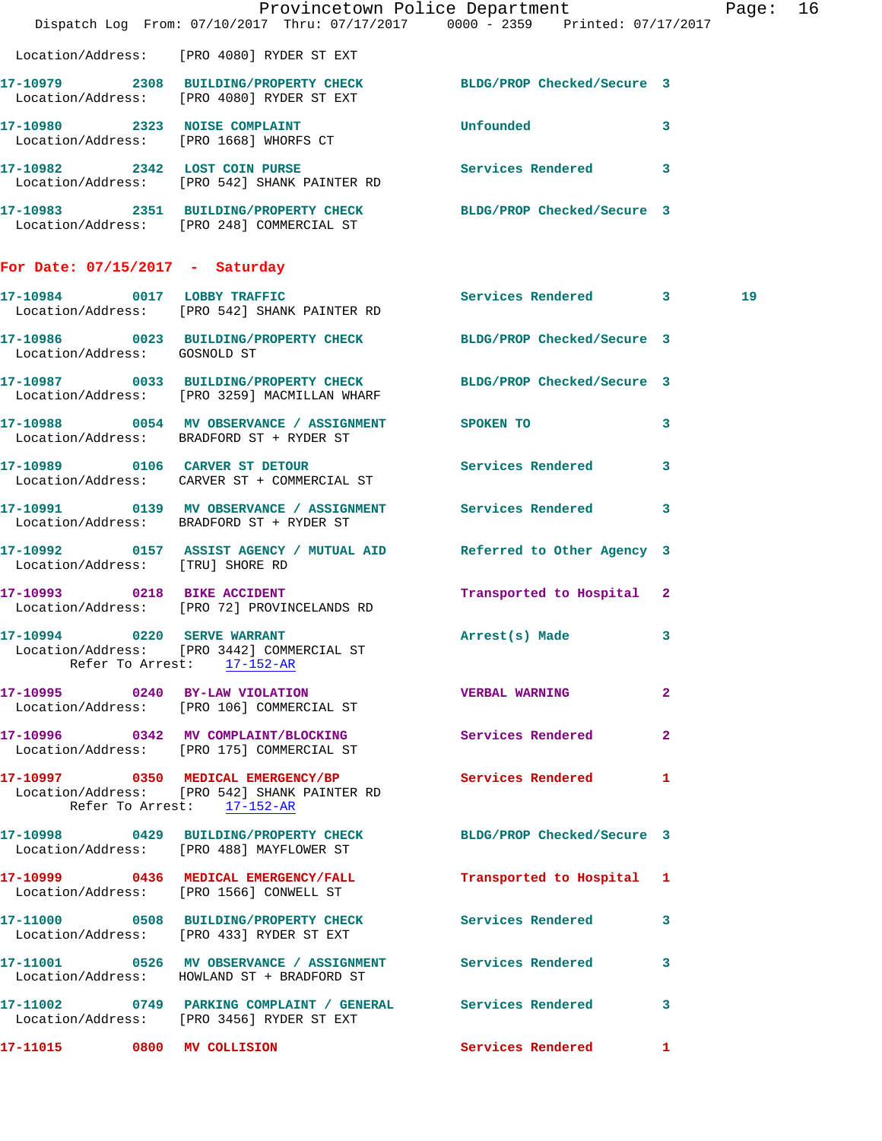|                                   |                                                                                                                  | Provincetown Police Department<br>Dispatch Log From: 07/10/2017 Thru: 07/17/2017 0000 - 2359 Printed: 07/17/2017 | Page: 16 |  |
|-----------------------------------|------------------------------------------------------------------------------------------------------------------|------------------------------------------------------------------------------------------------------------------|----------|--|
|                                   |                                                                                                                  |                                                                                                                  |          |  |
|                                   | Location/Address: [PRO 4080] RYDER ST EXT                                                                        |                                                                                                                  |          |  |
|                                   | 17-10979 2308 BUILDING/PROPERTY CHECK BLDG/PROP Checked/Secure 3<br>Location/Address: [PRO 4080] RYDER ST EXT    |                                                                                                                  |          |  |
|                                   | 17-10980 2323 NOISE COMPLAINT<br>Location/Address: [PRO 1668] WHORFS CT                                          | Unfounded<br>3                                                                                                   |          |  |
|                                   | 17-10982 2342 LOST COIN PURSE Services Rendered 3<br>Location/Address: [PRO 542] SHANK PAINTER RD                |                                                                                                                  |          |  |
|                                   | 17-10983 2351 BUILDING/PROPERTY CHECK BLDG/PROP Checked/Secure 3<br>Location/Address: [PRO 248] COMMERCIAL ST    |                                                                                                                  |          |  |
| For Date: $07/15/2017$ - Saturday |                                                                                                                  |                                                                                                                  |          |  |
|                                   | Location/Address: [PRO 542] SHANK PAINTER RD                                                                     | 17-10984 0017 LOBBY TRAFFIC Services Rendered 3                                                                  | 19       |  |
| Location/Address: GOSNOLD ST      | 17-10986 0023 BUILDING/PROPERTY CHECK BLDG/PROP Checked/Secure 3                                                 |                                                                                                                  |          |  |
|                                   | 17-10987 0033 BUILDING/PROPERTY CHECK BLDG/PROP Checked/Secure 3<br>Location/Address: [PRO 3259] MACMILLAN WHARF |                                                                                                                  |          |  |
|                                   | 17-10988 0054 MV OBSERVANCE / ASSIGNMENT SPOKEN TO<br>Location/Address: BRADFORD ST + RYDER ST                   | 3                                                                                                                |          |  |
|                                   | 17-10989 0106 CARVER ST DETOUR<br>Location/Address: CARVER ST + COMMERCIAL ST                                    | Services Rendered<br>3                                                                                           |          |  |
|                                   | 17-10991 0139 MV OBSERVANCE / ASSIGNMENT Services Rendered<br>Location/Address: BRADFORD ST + RYDER ST           | 3                                                                                                                |          |  |
| Location/Address: [TRU] SHORE RD  | 17-10992 0157 ASSIST AGENCY / MUTUAL AID Referred to Other Agency 3                                              |                                                                                                                  |          |  |
| 17-10993 0218 BIKE ACCIDENT       | Location/Address: [PRO 72] PROVINCELANDS RD                                                                      | Transported to Hospital 2                                                                                        |          |  |
|                                   | 17-10994 0220 SERVE WARRANT<br>Location/Address: [PRO 3442] COMMERCIAL ST<br>Refer To Arrest: 17-152-AR          | Arrest(s) Made<br>3                                                                                              |          |  |
|                                   | 17-10995 0240 BY-LAW VIOLATION<br>Location/Address: [PRO 106] COMMERCIAL ST                                      | <b>VERBAL WARNING</b><br>$\mathbf{2}$                                                                            |          |  |
|                                   | 17-10996 0342 MV COMPLAINT/BLOCKING<br>Location/Address: [PRO 175] COMMERCIAL ST                                 | <b>Services Rendered</b><br>$\mathbf{2}$                                                                         |          |  |
|                                   | 17-10997 0350 MEDICAL EMERGENCY/BP<br>Location/Address: [PRO 542] SHANK PAINTER RD<br>Refer To Arrest: 17-152-AR | Services Rendered<br>1                                                                                           |          |  |
|                                   | 17-10998 0429 BUILDING/PROPERTY CHECK BLDG/PROP Checked/Secure 3<br>Location/Address: [PRO 488] MAYFLOWER ST     |                                                                                                                  |          |  |
|                                   | 17-10999 0436 MEDICAL EMERGENCY/FALL<br>Location/Address: [PRO 1566] CONWELL ST                                  | Transported to Hospital 1                                                                                        |          |  |
|                                   | 17-11000 0508 BUILDING/PROPERTY CHECK Services Rendered<br>Location/Address: [PRO 433] RYDER ST EXT              | 3                                                                                                                |          |  |
|                                   | 17-11001 0526 MV OBSERVANCE / ASSIGNMENT Services Rendered<br>Location/Address: HOWLAND ST + BRADFORD ST         | 3                                                                                                                |          |  |
|                                   | 17-11002 0749 PARKING COMPLAINT / GENERAL Services Rendered<br>Location/Address: [PRO 3456] RYDER ST EXT         | 3                                                                                                                |          |  |
| 17-11015 0800 MV COLLISION        |                                                                                                                  | Services Rendered 1                                                                                              |          |  |
|                                   |                                                                                                                  |                                                                                                                  |          |  |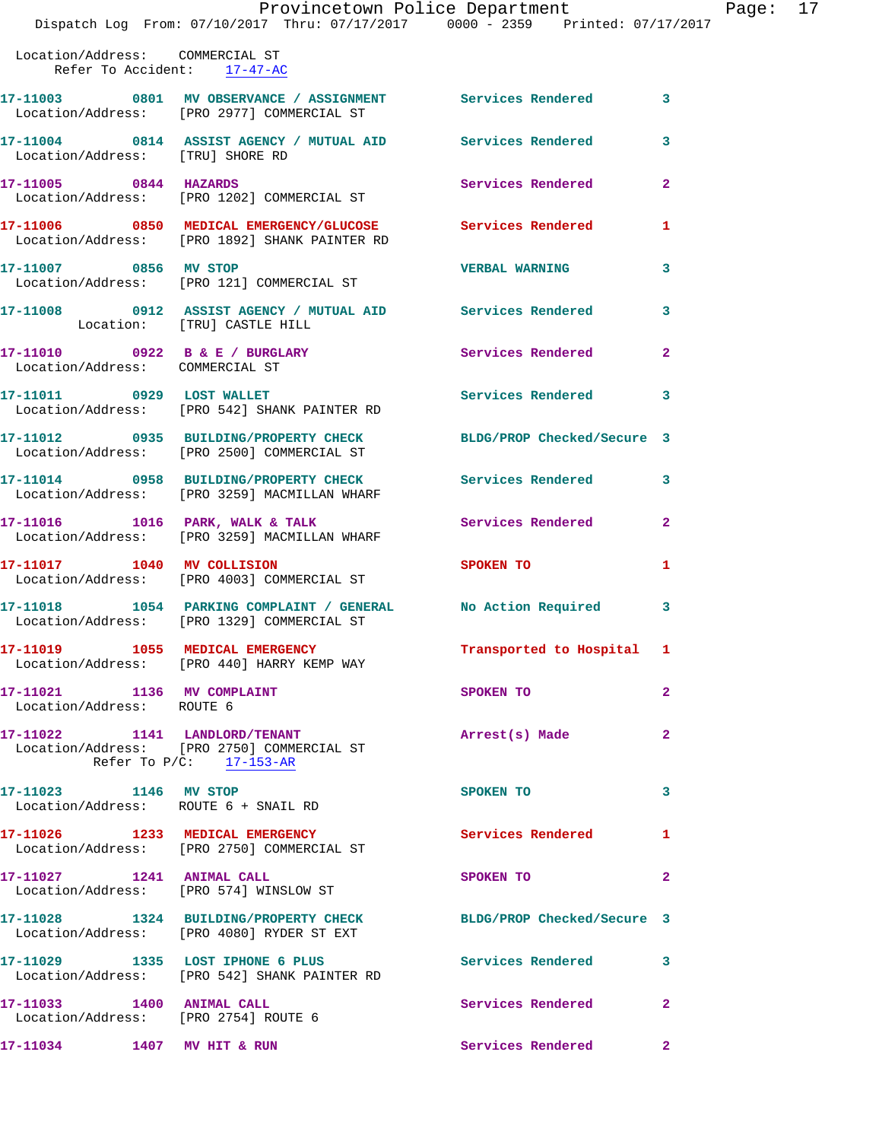|                                                                | Dispatch Log From: 07/10/2017 Thru: 07/17/2017 0000 - 2359 Printed: 07/17/2017                             | Provincetown Police Department | Page: 17                |  |
|----------------------------------------------------------------|------------------------------------------------------------------------------------------------------------|--------------------------------|-------------------------|--|
| Location/Address: COMMERCIAL ST<br>Refer To Accident: 17-47-AC |                                                                                                            |                                |                         |  |
|                                                                | 17-11003 0801 MV OBSERVANCE / ASSIGNMENT Services Rendered 3<br>Location/Address: [PRO 2977] COMMERCIAL ST |                                |                         |  |
| Location/Address: [TRU] SHORE RD                               | 17-11004 0814 ASSIST AGENCY / MUTUAL AID Services Rendered                                                 |                                | $\overline{\mathbf{3}}$ |  |
|                                                                | 17-11005 0844 HAZARDS<br>Location/Address: [PRO 1202] COMMERCIAL ST                                        | Services Rendered              | $\overline{2}$          |  |
|                                                                | 17-11006 0850 MEDICAL EMERGENCY/GLUCOSE Services Rendered<br>Location/Address: [PRO 1892] SHANK PAINTER RD |                                | $\mathbf{1}$            |  |
| 17-11007 0856 MV STOP                                          | Location/Address: [PRO 121] COMMERCIAL ST                                                                  | <b>VERBAL WARNING</b>          | $\mathbf{3}$            |  |
| Location: [TRU] CASTLE HILL                                    | 17-11008 0912 ASSIST AGENCY / MUTUAL AID Services Rendered                                                 |                                | $\overline{\mathbf{3}}$ |  |
| Location/Address: COMMERCIAL ST                                | 17-11010 0922 B & E / BURGLARY                                                                             | <b>Services Rendered</b>       | $\overline{2}$          |  |
| 17-11011 0929 LOST WALLET                                      | Location/Address: [PRO 542] SHANK PAINTER RD                                                               | Services Rendered 3            |                         |  |
|                                                                | 17-11012 0935 BUILDING/PROPERTY CHECK BLDG/PROP Checked/Secure 3                                           |                                |                         |  |

 Location/Address: [PRO 2500] COMMERCIAL ST **17-11014 0958 BUILDING/PROPERTY CHECK Services Rendered 3** 

Location/Address: [PRO 3259] MACMILLAN WHARF

**17-11016 1016 PARK, WALK & TALK Services Rendered 2**  Location/Address: [PRO 3259] MACMILLAN WHARF

Location/Address: [PRO 4003] COMMERCIAL ST

Location/Address: [PRO 1329] COMMERCIAL ST

**17-11019 1055 MEDICAL EMERGENCY Transported to Hospital 1**  Location/Address: [PRO 440] HARRY KEMP WAY

**17-11021 1136 MV COMPLAINT SPOKEN TO 2**  Location/Address: ROUTE 6

**17-11022 1141 LANDLORD/TENANT Arrest(s) Made 2**  Location/Address: [PRO 2750] COMMERCIAL ST Refer To P/C: 17-153-AR

Location/Address: ROUTE 6 + SNAIL RD

Location/Address: [PRO 2750] COMMERCIAL ST

Location/Address: [PRO 574] WINSLOW ST

Location/Address: [PRO 4080] RYDER ST EXT

**17-11029 1335 LOST IPHONE 6 PLUS Services Rendered 3**  Location/Address: [PRO 542] SHANK PAINTER RD

17-11033 1400 ANIMAL CALL Services Rendered 2

Location/Address: [PRO 2754] ROUTE 6

**17-11034 1407 MV HIT & RUN Services Rendered 2** 

**17-11017 1040 MV COLLISION SPOKEN TO 1 17-11018 1054 PARKING COMPLAINT / GENERAL No Action Required 3** 

**17-11023** 1146 MV STOP SPOKEN TO 3

**17-11026 1233 MEDICAL EMERGENCY Services Rendered 1** 

**17-11027 1241 ANIMAL CALL SPOKEN TO 2** 

**17-11028 1324 BUILDING/PROPERTY CHECK BLDG/PROP Checked/Secure 3**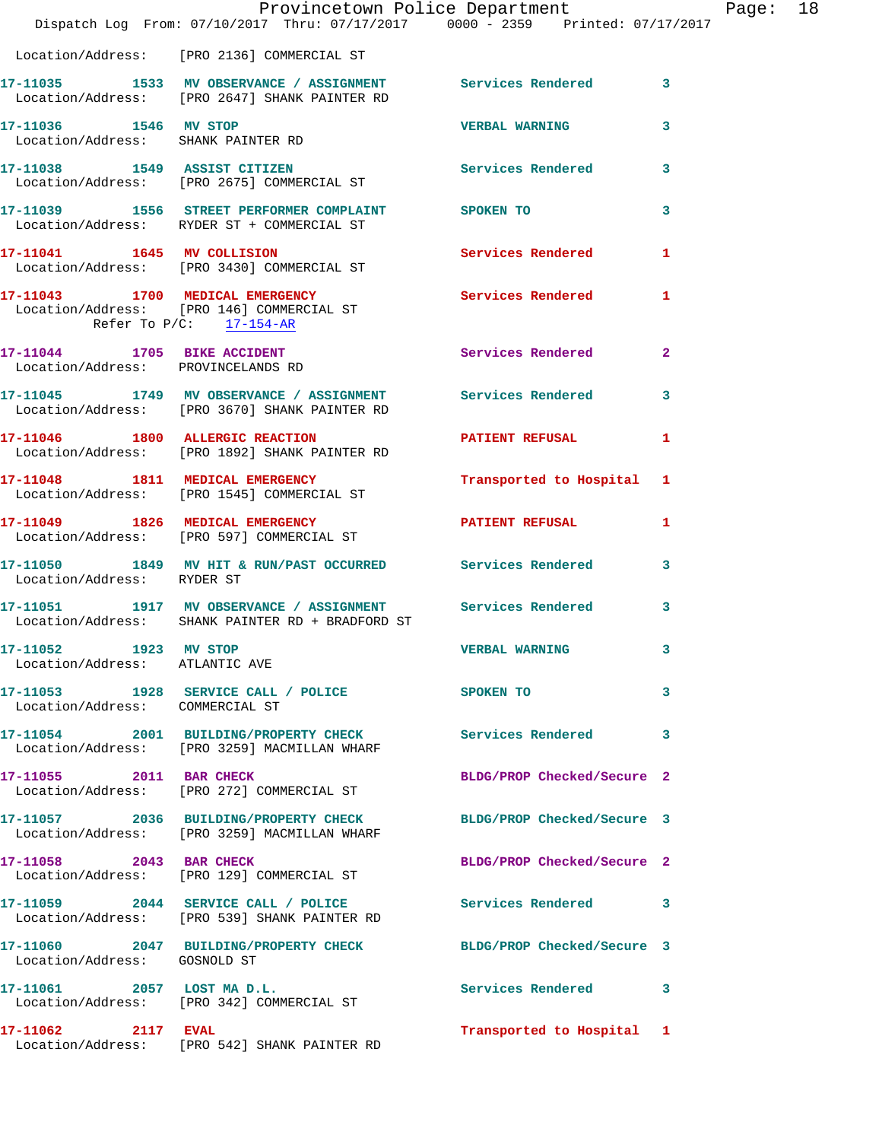|                                                         | Provincetown Police Department<br>Dispatch Log From: 07/10/2017 Thru: 07/17/2017 0000 - 2359 Printed: 07/17/2017             |                            |                |
|---------------------------------------------------------|------------------------------------------------------------------------------------------------------------------------------|----------------------------|----------------|
|                                                         |                                                                                                                              |                            |                |
|                                                         | Location/Address: [PRO 2136] COMMERCIAL ST                                                                                   |                            |                |
|                                                         | 17-11035 1533 MV OBSERVANCE / ASSIGNMENT Services Rendered<br>Location/Address: [PRO 2647] SHANK PAINTER RD                  |                            | 3              |
| 17-11036 1546 MV STOP                                   | Location/Address: SHANK PAINTER RD                                                                                           | <b>VERBAL WARNING</b>      | 3              |
|                                                         | 17-11038 1549 ASSIST CITIZEN<br>Location/Address: [PRO 2675] COMMERCIAL ST                                                   | Services Rendered          | 3              |
|                                                         | 17-11039 1556 STREET PERFORMER COMPLAINT SPOKEN TO<br>Location/Address: RYDER ST + COMMERCIAL ST                             |                            | 3              |
|                                                         | 17-11041 1645 MV COLLISION<br>Location/Address: [PRO 3430] COMMERCIAL ST                                                     | <b>Services Rendered</b>   | 1              |
|                                                         | 17-11043 1700 MEDICAL EMERGENCY Services Rendered<br>Location/Address: [PRO 146] COMMERCIAL ST<br>Refer To $P/C$ : 17-154-AR |                            | 1              |
|                                                         | 17-11044 1705 BIKE ACCIDENT<br>Location/Address: PROVINCELANDS RD                                                            | Services Rendered          | $\overline{a}$ |
|                                                         | 17-11045 1749 MV OBSERVANCE / ASSIGNMENT Services Rendered<br>Location/Address: [PRO 3670] SHANK PAINTER RD                  |                            | 3              |
|                                                         | 17-11046 1800 ALLERGIC REACTION<br>Location/Address: [PRO 1892] SHANK PAINTER RD                                             | <b>PATIENT REFUSAL</b>     | 1              |
|                                                         | 17-11048 1811 MEDICAL EMERGENCY<br>Location/Address: [PRO 1545] COMMERCIAL ST                                                | Transported to Hospital    | 1              |
|                                                         | 17-11049 1826 MEDICAL EMERGENCY<br>Location/Address: [PRO 597] COMMERCIAL ST                                                 | <b>PATIENT REFUSAL</b>     | 1              |
| Location/Address: RYDER ST                              | 17-11050 1849 MV HIT & RUN/PAST OCCURRED Services Rendered                                                                   |                            | 3              |
|                                                         | 17-11051 1917 MV OBSERVANCE / ASSIGNMENT Services Rendered<br>Location/Address: SHANK PAINTER RD + BRADFORD ST               |                            | 3              |
| 17-11052 1923 MV STOP<br>Location/Address: ATLANTIC AVE |                                                                                                                              | <b>VERBAL WARNING</b>      | 3              |
| Location/Address: COMMERCIAL ST                         | 17-11053 1928 SERVICE CALL / POLICE                                                                                          | <b>SPOKEN TO</b>           | 3              |
|                                                         | 17-11054 2001 BUILDING/PROPERTY CHECK<br>Location/Address: [PRO 3259] MACMILLAN WHARF                                        | <b>Services Rendered</b>   | 3              |
| 17-11055 2011 BAR CHECK                                 | Location/Address: [PRO 272] COMMERCIAL ST                                                                                    | BLDG/PROP Checked/Secure 2 |                |
|                                                         | 17-11057 2036 BUILDING/PROPERTY CHECK<br>Location/Address: [PRO 3259] MACMILLAN WHARF                                        | BLDG/PROP Checked/Secure 3 |                |
| 17-11058 2043 BAR CHECK                                 | Location/Address: [PRO 129] COMMERCIAL ST                                                                                    | BLDG/PROP Checked/Secure 2 |                |
|                                                         | 17-11059 2044 SERVICE CALL / POLICE<br>Location/Address: [PRO 539] SHANK PAINTER RD                                          | <b>Services Rendered</b>   | 3              |
| Location/Address: GOSNOLD ST                            | 17-11060 2047 BUILDING/PROPERTY CHECK                                                                                        | BLDG/PROP Checked/Secure 3 |                |
|                                                         | 17-11061 2057 LOST MAD.L.<br>Location/Address: [PRO 342] COMMERCIAL ST                                                       | Services Rendered          | 3              |
|                                                         |                                                                                                                              | Transported to Hospital 1  |                |

Location/Address: [PRO 542] SHANK PAINTER RD

Page: 18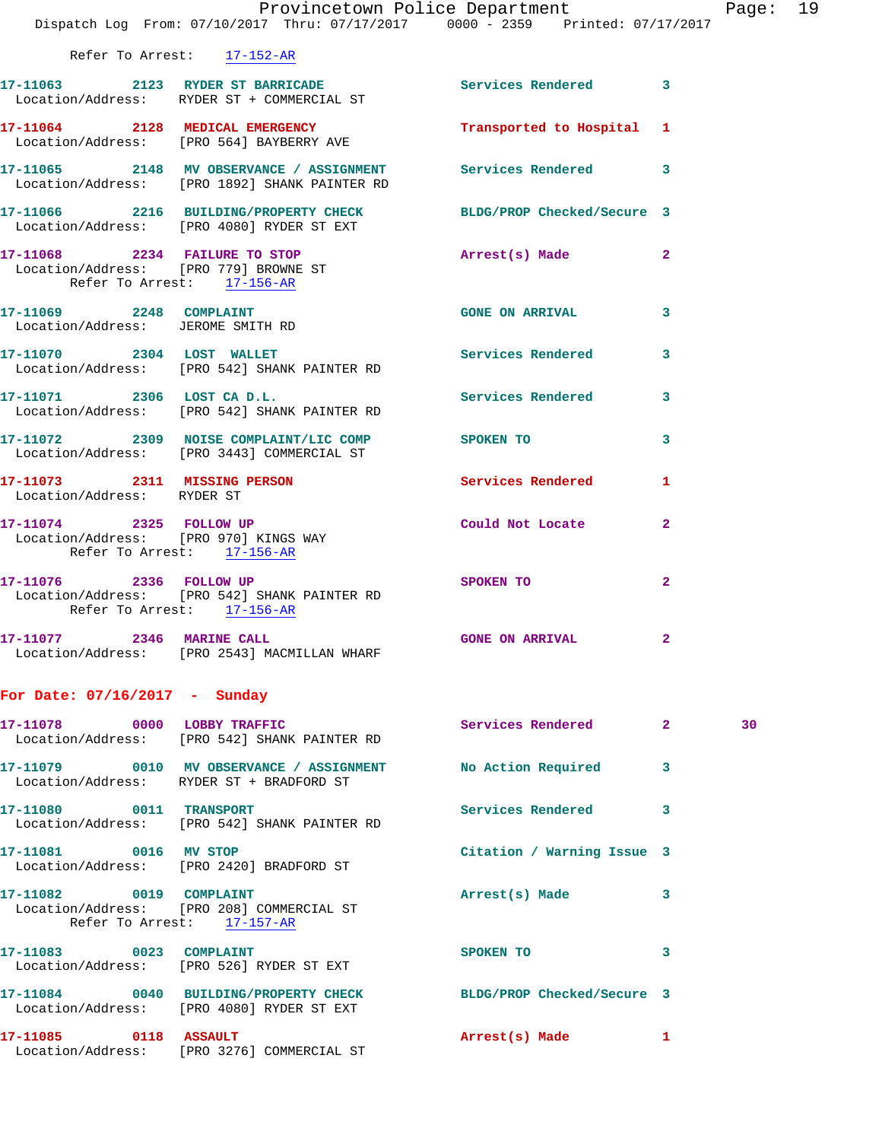|                                                                     | Provincetown Police Department<br>Dispatch Log From: 07/10/2017 Thru: 07/17/2017 0000 - 2359 Printed: 07/17/2017           |                            |                | Page |
|---------------------------------------------------------------------|----------------------------------------------------------------------------------------------------------------------------|----------------------------|----------------|------|
|                                                                     | Refer To Arrest: 17-152-AR                                                                                                 |                            |                |      |
|                                                                     | 17-11063 2123 RYDER ST BARRICADE Services Rendered 3<br>Location/Address: RYDER ST + COMMERCIAL ST                         |                            |                |      |
|                                                                     | 17-11064 2128 MEDICAL EMERGENCY<br>Location/Address: [PRO 564] BAYBERRY AVE                                                | Transported to Hospital 1  |                |      |
|                                                                     | 17-11065 2148 MV OBSERVANCE / ASSIGNMENT Services Rendered<br>Location/Address: [PRO 1892] SHANK PAINTER RD                |                            | 3              |      |
|                                                                     | 17-11066 2216 BUILDING/PROPERTY CHECK BLDG/PROP Checked/Secure 3<br>Location/Address: [PRO 4080] RYDER ST EXT              |                            |                |      |
| Refer To Arrest: 17-156-AR                                          | 17-11068 2234 FAILURE TO STOP Arrest(s) Made<br>Location/Address: [PRO 779] BROWNE ST                                      |                            | $\overline{a}$ |      |
|                                                                     | 17-11069 2248 COMPLAINT<br>Location/Address: JEROME SMITH RD                                                               | <b>GONE ON ARRIVAL</b>     | 3              |      |
|                                                                     | 17-11070 2304 LOST WALLET<br>Location/Address: [PRO 542] SHANK PAINTER RD                                                  | Services Rendered          | 3              |      |
|                                                                     | 17-11071 2306 LOST CA D.L.<br>Location/Address: [PRO 542] SHANK PAINTER RD<br>Location/Address: [PRO 542] SHANK PAINTER RD |                            | 3              |      |
|                                                                     | 17-11072 2309 NOISE COMPLAINT/LIC COMP<br>Location/Address: [PRO 3443] COMMERCIAL ST                                       |                            | 3              |      |
| Location/Address: RYDER ST                                          | 17-11073 2311 MISSING PERSON                                                                                               | <b>Services Rendered</b>   | 1              |      |
| Location/Address: [PRO 970] KINGS WAY<br>Refer To Arrest: 17-156-AR | 17-11074 2325 FOLLOW UP                                                                                                    | Could Not Locate           | $\overline{a}$ |      |
| Refer To Arrest: 17-156-AR                                          | 17-11076 2336 FOLLOW UP<br>Location/Address: [PRO 542] SHANK PAINTER RD                                                    | <b>SPOKEN TO</b>           | $\mathbf{2}$   |      |
| 17-11077 2346 MARINE CALL                                           | Location/Address: [PRO 2543] MACMILLAN WHARF                                                                               | <b>GONE ON ARRIVAL</b>     |                |      |
| For Date: 07/16/2017 - Sunday                                       |                                                                                                                            |                            |                |      |
|                                                                     | 17-11078 0000 LOBBY TRAFFIC<br>Location/Address: [PRO 542] SHANK PAINTER RD                                                | Services Rendered 2        |                | 30   |
|                                                                     | 17-11079 0010 MV OBSERVANCE / ASSIGNMENT No Action Required<br>Location/Address: RYDER ST + BRADFORD ST                    |                            | 3              |      |
| 17-11080 0011 TRANSPORT                                             | Location/Address: [PRO 542] SHANK PAINTER RD                                                                               | Services Rendered          | 3              |      |
| 17-11081 0016 MV STOP                                               | Location/Address: [PRO 2420] BRADFORD ST                                                                                   | Citation / Warning Issue 3 |                |      |
| 17-11082 0019 COMPLAINT                                             | Location/Address: [PRO 208] COMMERCIAL ST<br>Refer To Arrest: 17-157-AR                                                    | Arrest(s) Made             | 3              |      |
|                                                                     | 17-11083 0023 COMPLAINT<br>Location/Address: [PRO 526] RYDER ST EXT                                                        | SPOKEN TO                  | 3              |      |
|                                                                     | 17-11084 0040 BUILDING/PROPERTY CHECK BLDG/PROP Checked/Secure 3<br>Location/Address: [PRO 4080] RYDER ST EXT              |                            |                |      |

**17-11085 0118 ASSAULT Arrest(s) Made 1**  Location/Address: [PRO 3276] COMMERCIAL ST

Page: 19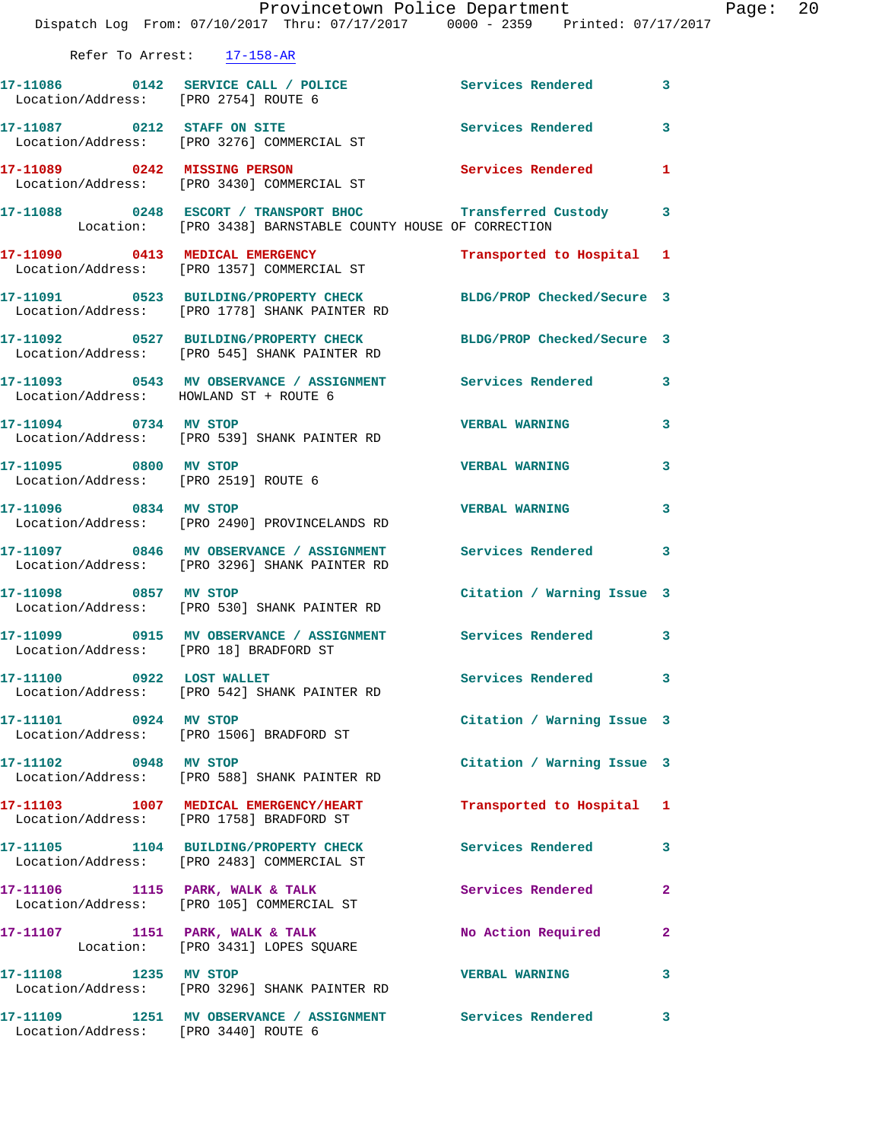|                                                               | Dispatch Log From: 07/10/2017 Thru: 07/17/2017 0000 - 2359 Printed: 07/17/2017                                            | Provincetown Police Department |              | Page: 20 |  |
|---------------------------------------------------------------|---------------------------------------------------------------------------------------------------------------------------|--------------------------------|--------------|----------|--|
|                                                               | Refer To Arrest: 17-158-AR                                                                                                |                                |              |          |  |
| Location/Address: [PRO 2754] ROUTE 6                          | 17-11086 0142 SERVICE CALL / POLICE                                                                                       | Services Rendered 3            |              |          |  |
|                                                               | 17-11087 0212 STAFF ON SITE<br>Location/Address: [PRO 3276] COMMERCIAL ST                                                 | Services Rendered 3            |              |          |  |
|                                                               | 17-11089 0242 MISSING PERSON<br>Location/Address: [PRO 3430] COMMERCIAL ST                                                | Services Rendered 1            |              |          |  |
|                                                               | 17-11088 0248 ESCORT / TRANSPORT BHOC Transferred Custody 3<br>Location: [PRO 3438] BARNSTABLE COUNTY HOUSE OF CORRECTION |                                |              |          |  |
|                                                               | 17-11090 0413 MEDICAL EMERGENCY<br>Location/Address: [PRO 1357] COMMERCIAL ST                                             | Transported to Hospital 1      |              |          |  |
|                                                               | 17-11091 0523 BUILDING/PROPERTY CHECK BLDG/PROP Checked/Secure 3<br>Location/Address: [PRO 1778] SHANK PAINTER RD         |                                |              |          |  |
|                                                               | 17-11092 0527 BUILDING/PROPERTY CHECK BLDG/PROP Checked/Secure 3<br>Location/Address: [PRO 545] SHANK PAINTER RD          |                                |              |          |  |
| Location/Address: HOWLAND ST + ROUTE 6                        | 17-11093 0543 MV OBSERVANCE / ASSIGNMENT Services Rendered 3                                                              |                                |              |          |  |
| 17-11094 0734 MV STOP                                         | Location/Address: [PRO 539] SHANK PAINTER RD                                                                              | <b>VERBAL WARNING</b>          | $\mathbf{3}$ |          |  |
| 17-11095 0800 MV STOP<br>Location/Address: [PRO 2519] ROUTE 6 |                                                                                                                           | <b>VERBAL WARNING</b>          | 3            |          |  |
| 17-11096 0834 MV STOP                                         | Location/Address: [PRO 2490] PROVINCELANDS RD                                                                             | <b>VERBAL WARNING</b>          | 3            |          |  |
|                                                               | 17-11097 0846 MV OBSERVANCE / ASSIGNMENT Services Rendered 3<br>Location/Address: [PRO 3296] SHANK PAINTER RD             |                                |              |          |  |
| 17-11098 0857 MV STOP                                         | Location/Address: [PRO 530] SHANK PAINTER RD                                                                              | Citation / Warning Issue 3     |              |          |  |
|                                                               | 17-11099 0915 MV OBSERVANCE / ASSIGNMENT Services Rendered 3<br>Location/Address: [PRO 18] BRADFORD ST                    |                                |              |          |  |
|                                                               | 17-11100 0922 LOST WALLET<br>Location/Address: [PRO 542] SHANK PAINTER RD                                                 | Services Rendered 3            |              |          |  |
|                                                               | 17-11101 0924 MV STOP<br>Location/Address: [PRO 1506] BRADFORD ST                                                         | Citation / Warning Issue 3     |              |          |  |
| 17-11102 0948 MV STOP                                         | Location/Address: [PRO 588] SHANK PAINTER RD                                                                              | Citation / Warning Issue 3     |              |          |  |
|                                                               | 17-11103 1007 MEDICAL EMERGENCY/HEART<br>Location/Address: [PRO 1758] BRADFORD ST                                         | Transported to Hospital 1      |              |          |  |
|                                                               | 17-11105 1104 BUILDING/PROPERTY CHECK<br>Location/Address: [PRO 2483] COMMERCIAL ST                                       | Services Rendered 3            |              |          |  |
|                                                               | 17-11106 1115 PARK, WALK & TALK<br>Location/Address: [PRO 105] COMMERCIAL ST                                              | Services Rendered              | $\mathbf{2}$ |          |  |
|                                                               | 17-11107 1151 PARK, WALK & TALK<br>Location: [PRO 3431] LOPES SQUARE                                                      | No Action Required             | $\mathbf{2}$ |          |  |
| 17-11108 1235 MV STOP                                         | Location/Address: [PRO 3296] SHANK PAINTER RD                                                                             | <b>VERBAL WARNING</b>          | 3            |          |  |
| Location/Address: [PRO 3440] ROUTE 6                          | 17-11109 1251 MV OBSERVANCE / ASSIGNMENT Services Rendered 3                                                              |                                |              |          |  |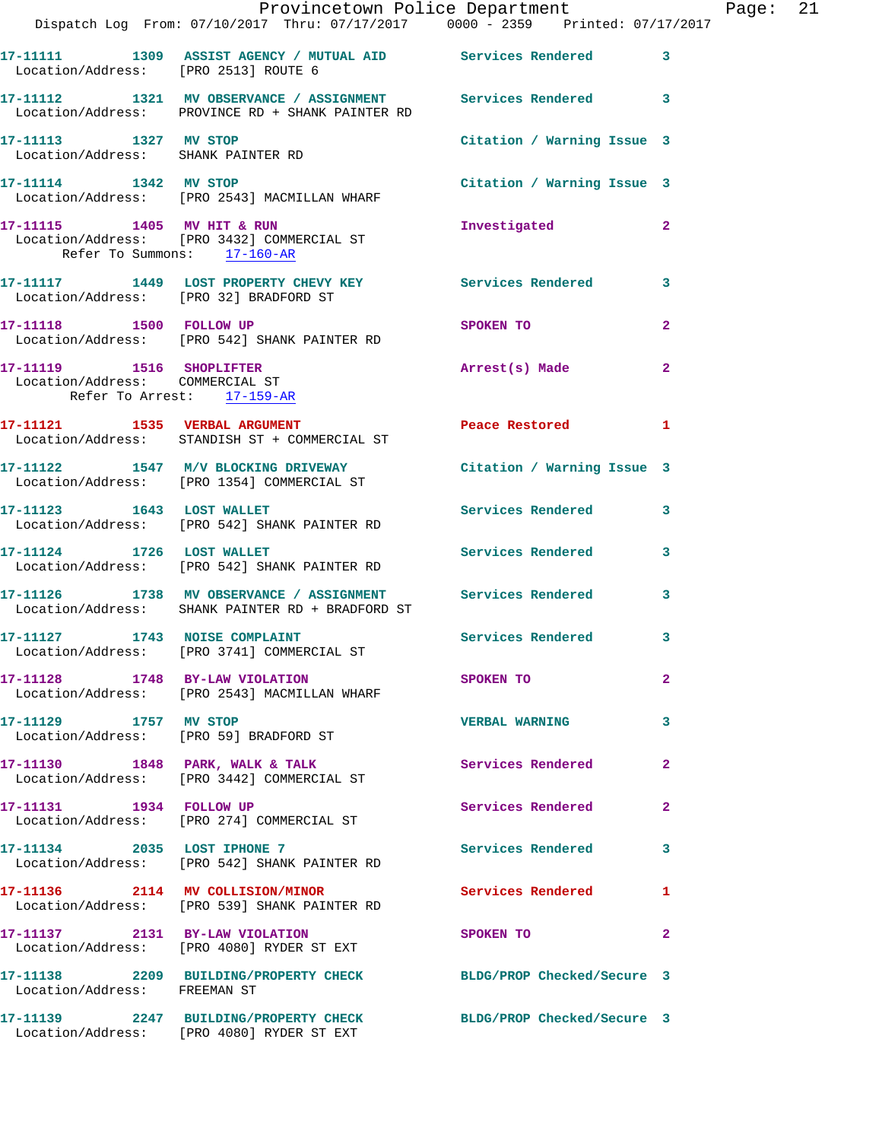|                                                                                           | Provincetown Police Department<br>Dispatch Log From: 07/10/2017 Thru: 07/17/2017 0000 - 2359 Printed: 07/17/2017 |                            |                |
|-------------------------------------------------------------------------------------------|------------------------------------------------------------------------------------------------------------------|----------------------------|----------------|
| Location/Address: [PRO 2513] ROUTE 6                                                      | 17-11111 1309 ASSIST AGENCY / MUTUAL AID Services Rendered                                                       |                            | 3              |
|                                                                                           | 17-11112 1321 MV OBSERVANCE / ASSIGNMENT Services Rendered<br>Location/Address: PROVINCE RD + SHANK PAINTER RD   |                            | 3              |
| 17-11113 1327 MV STOP<br>Location/Address: SHANK PAINTER RD                               |                                                                                                                  | Citation / Warning Issue 3 |                |
| 17-11114 1342 MV STOP                                                                     | Location/Address: [PRO 2543] MACMILLAN WHARF                                                                     | Citation / Warning Issue 3 |                |
| Refer To Summons: 17-160-AR                                                               | 17-11115 1405 MV HIT & RUN<br>Location/Address: [PRO 3432] COMMERCIAL ST                                         | Investigated               | $\mathbf{2}$   |
| Location/Address: [PRO 32] BRADFORD ST                                                    | 17-11117 1449 LOST PROPERTY CHEVY KEY Services Rendered                                                          |                            | 3              |
| 17-11118   1500   FOLLOW UP                                                               | Location/Address: [PRO 542] SHANK PAINTER RD                                                                     | <b>SPOKEN TO</b>           | $\overline{a}$ |
| 17-11119 1516 SHOPLIFTER<br>Location/Address: COMMERCIAL ST<br>Refer To Arrest: 17-159-AR |                                                                                                                  | Arrest(s) Made             | $\mathbf{2}$   |
| 17-11121 1535 VERBAL ARGUMENT                                                             | Location/Address: STANDISH ST + COMMERCIAL ST                                                                    | Peace Restored             | 1              |
|                                                                                           | 17-11122 1547 M/V BLOCKING DRIVEWAY<br>Location/Address: [PRO 1354] COMMERCIAL ST                                | Citation / Warning Issue 3 |                |
| 17-11123    1643    LOST WALLET                                                           | Location/Address: [PRO 542] SHANK PAINTER RD                                                                     | Services Rendered          | 3              |
| 17-11124 1726 LOST WALLET                                                                 | Location/Address: [PRO 542] SHANK PAINTER RD                                                                     | <b>Services Rendered</b>   | 3              |
|                                                                                           | 17-11126 1738 MV OBSERVANCE / ASSIGNMENT Services Rendered<br>Location/Address: SHANK PAINTER RD + BRADFORD ST   |                            | 3              |
| 17-11127 1743 NOISE COMPLAINT                                                             | Location/Address: [PRO 3741] COMMERCIAL ST                                                                       | Services Rendered          | 3              |
| 17-11128 1748 BY-LAW VIOLATION                                                            | Location/Address: [PRO 2543] MACMILLAN WHARF                                                                     | SPOKEN TO                  | $\overline{a}$ |
| 17-11129 1757 MV STOP                                                                     | Location/Address: [PRO 59] BRADFORD ST                                                                           | <b>VERBAL WARNING</b>      | 3              |
|                                                                                           | 17-11130 1848 PARK, WALK & TALK<br>Location/Address: [PRO 3442] COMMERCIAL ST                                    | Services Rendered          | $\mathbf{2}$   |
| 17-11131 1934 FOLLOW UP                                                                   | Location/Address: [PRO 274] COMMERCIAL ST                                                                        | Services Rendered          | $\mathbf{2}$   |
| 17-11134 2035 LOST IPHONE 7                                                               | Location/Address: [PRO 542] SHANK PAINTER RD                                                                     | <b>Services Rendered</b>   | 3              |
|                                                                                           | 17-11136 2114 MV COLLISION/MINOR<br>Location/Address: [PRO 539] SHANK PAINTER RD                                 | <b>Services Rendered</b>   | 1              |
| 17-11137 2131 BY-LAW VIOLATION                                                            | Location/Address: [PRO 4080] RYDER ST EXT                                                                        | SPOKEN TO                  | 2              |
| Location/Address: FREEMAN ST                                                              | 17-11138 2209 BUILDING/PROPERTY CHECK                                                                            | BLDG/PROP Checked/Secure 3 |                |
|                                                                                           | 17-11139 2247 BUILDING/PROPERTY CHECK<br>Location/Address: [PRO 4080] RYDER ST EXT                               | BLDG/PROP Checked/Secure 3 |                |

Page: 21